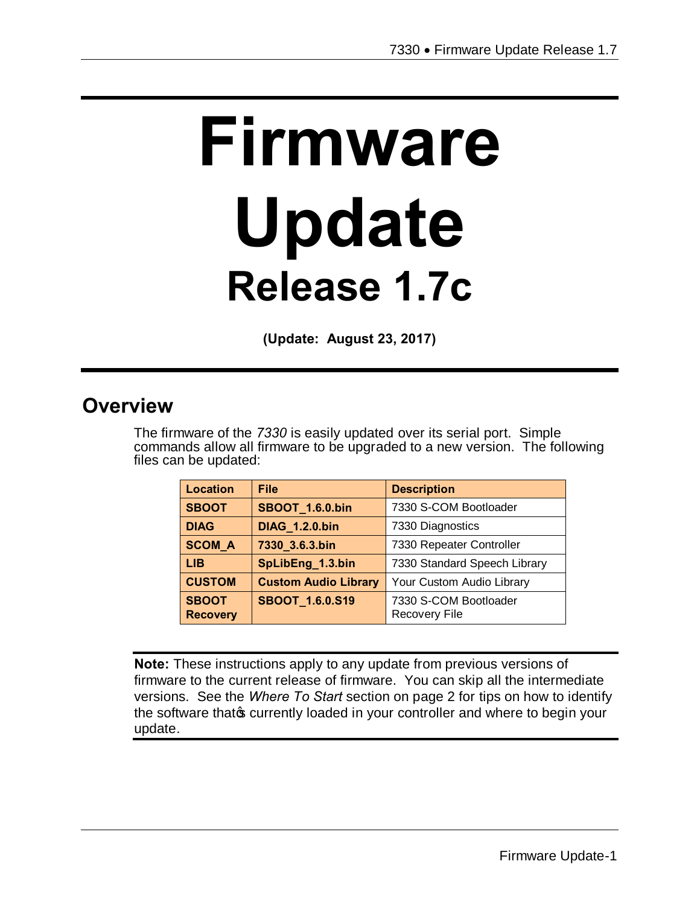# **Firmware Update Release 1.7c**

**(Update: August 23, 2017)**

## **Overview**

The firmware of the *7330* is easily updated over its serial port. Simple commands allow all firmware to be upgraded to a new version. The following files can be updated:

| Location                        | <b>File</b>                 | <b>Description</b>                            |
|---------------------------------|-----------------------------|-----------------------------------------------|
| <b>SBOOT</b>                    | <b>SBOOT_1.6.0.bin</b>      | 7330 S-COM Bootloader                         |
| <b>DIAG</b>                     | <b>DIAG 1.2.0.bin</b>       | 7330 Diagnostics                              |
| <b>SCOM A</b>                   | 7330_3.6.3.bin              | 7330 Repeater Controller                      |
| <b>LIB</b>                      | SpLibEng_1.3.bin            | 7330 Standard Speech Library                  |
| <b>CUSTOM</b>                   | <b>Custom Audio Library</b> | Your Custom Audio Library                     |
| <b>SBOOT</b><br><b>Recovery</b> | SBOOT_1.6.0.S19             | 7330 S-COM Bootloader<br><b>Recovery File</b> |

**Note:** These instructions apply to any update from previous versions of firmware to the current release of firmware. You can skip all the intermediate versions. See the *Where To Start* section on page 2 for tips on how to identify the software that of currently loaded in your controller and where to begin your update.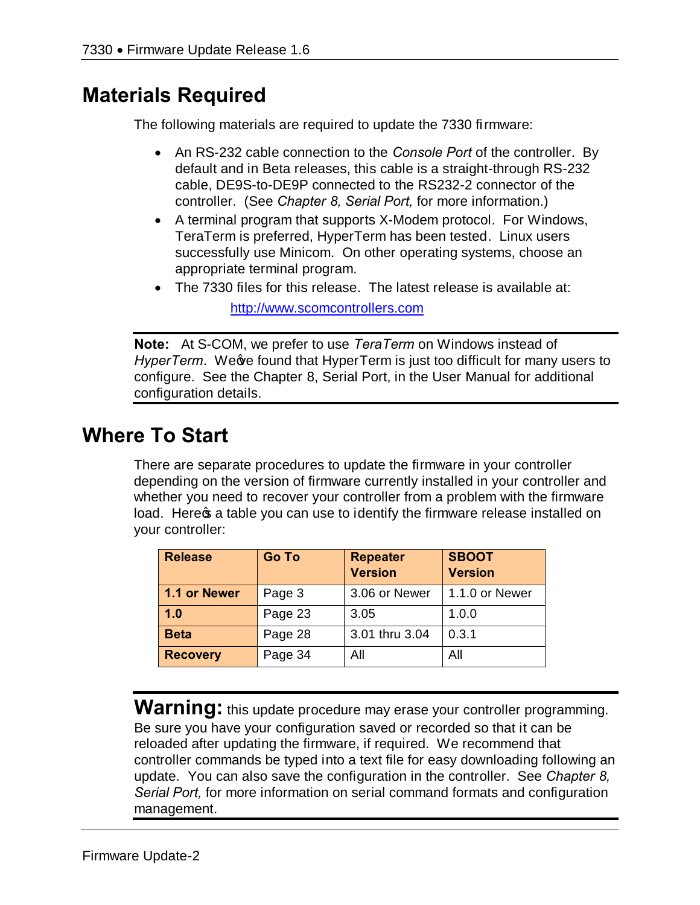# **Materials Required**

The following materials are required to update the 7330 firmware:

- · An RS-232 cable connection to the *Console Port* of the controller. By default and in Beta releases, this cable is a straight-through RS-232 cable, DE9S-to-DE9P connected to the RS232-2 connector of the controller. (See *Chapter 8, Serial Port,* for more information.)
- · A terminal program that supports X-Modem protocol. For Windows, TeraTerm is preferred, HyperTerm has been tested. Linux users successfully use Minicom. On other operating systems, choose an appropriate terminal program.
- · The 7330 files for this release. The latest release is available at: http://www.scomcontrollers.com

**Note:** At S-COM, we prefer to use *TeraTerm* on Windows instead of *HyperTerm.* We we found that HyperTerm is just too difficult for many users to configure. See the Chapter 8, Serial Port, in the User Manual for additional configuration details.

# **Where To Start**

There are separate procedures to update the firmware in your controller depending on the version of firmware currently installed in your controller and whether you need to recover your controller from a problem with the firmware load. Here a table you can use to identify the firmware release installed on your controller:

| <b>Release</b>  | <b>Go To</b> | <b>Repeater</b><br><b>Version</b> | <b>SBOOT</b><br><b>Version</b> |
|-----------------|--------------|-----------------------------------|--------------------------------|
| 1.1 or Newer    | Page 3       | 3.06 or Newer                     | 1.1.0 or Newer                 |
| 1.0             | Page 23      | 3.05                              | 1.0.0                          |
| <b>Beta</b>     | Page 28      | 3.01 thru 3.04                    | 0.3.1                          |
| <b>Recovery</b> | Page 34      | All                               | All                            |

**Warning:** this update procedure may erase your controller programming. Be sure you have your configuration saved or recorded so that it can be reloaded after updating the firmware, if required. We recommend that controller commands be typed into a text file for easy downloading following an update. You can also save the configuration in the controller. See *Chapter 8, Serial Port,* for more information on serial command formats and configuration management.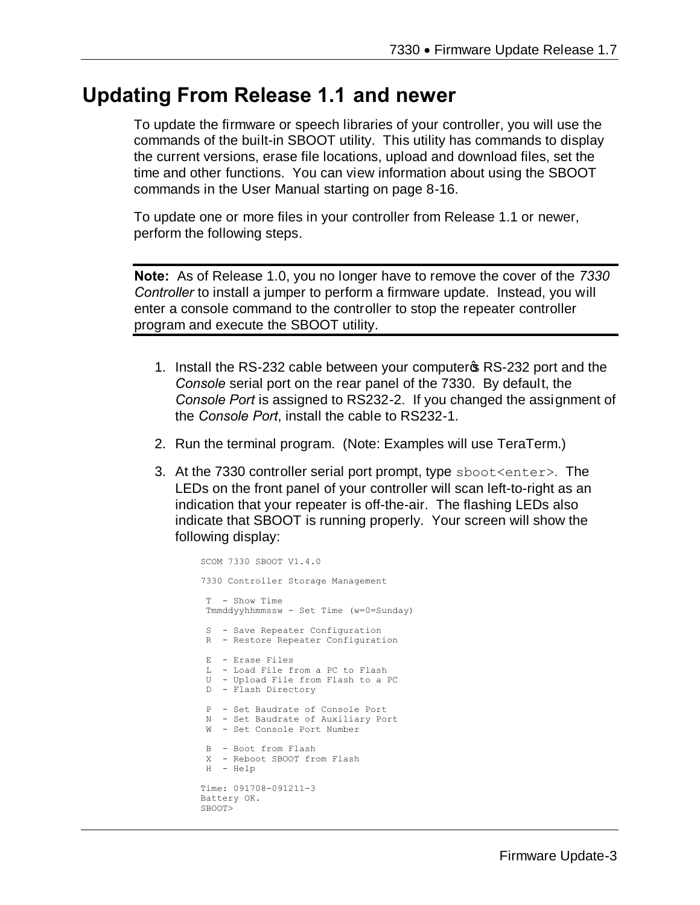## **Updating From Release 1.1 and newer**

To update the firmware or speech libraries of your controller, you will use the commands of the built-in SBOOT utility. This utility has commands to display the current versions, erase file locations, upload and download files, set the time and other functions. You can view information about using the SBOOT commands in the User Manual starting on page 8-16.

To update one or more files in your controller from Release 1.1 or newer, perform the following steps.

**Note:** As of Release 1.0, you no longer have to remove the cover of the *7330 Controller* to install a jumper to perform a firmware update. Instead, you will enter a console command to the controller to stop the repeater controller program and execute the SBOOT utility.

- 1. Install the RS-232 cable between your computer **S** RS-232 port and the *Console* serial port on the rear panel of the 7330. By default, the *Console Port* is assigned to RS232-2. If you changed the assignment of the *Console Port*, install the cable to RS232-1.
- 2. Run the terminal program. (Note: Examples will use TeraTerm.)
- 3. At the 7330 controller serial port prompt, type sboot<enter>. The LEDs on the front panel of your controller will scan left-to-right as an indication that your repeater is off-the-air. The flashing LEDs also indicate that SBOOT is running properly. Your screen will show the following display:

```
SCOM 7330 SBOOT V1.4.0
7330 Controller Storage Management
T - Show Time 
Tmmddyyhhmmssw - Set Time (w=0=Sunday)
 S - Save Repeater Configuration
 R - Restore Repeater Configuration
 E - Erase Files
 L - Load File from a PC to Flash
 U - Upload File from Flash to a PC
 D - Flash Directory
 P - Set Baudrate of Console Port
N - Set Baudrate of Auxiliary Port
 W - Set Console Port Number
 B - Boot from Flash
 X - Reboot SBOOT from Flash
H - Help
Time: 091708-091211-3
Battery OK.
SBOOT>
```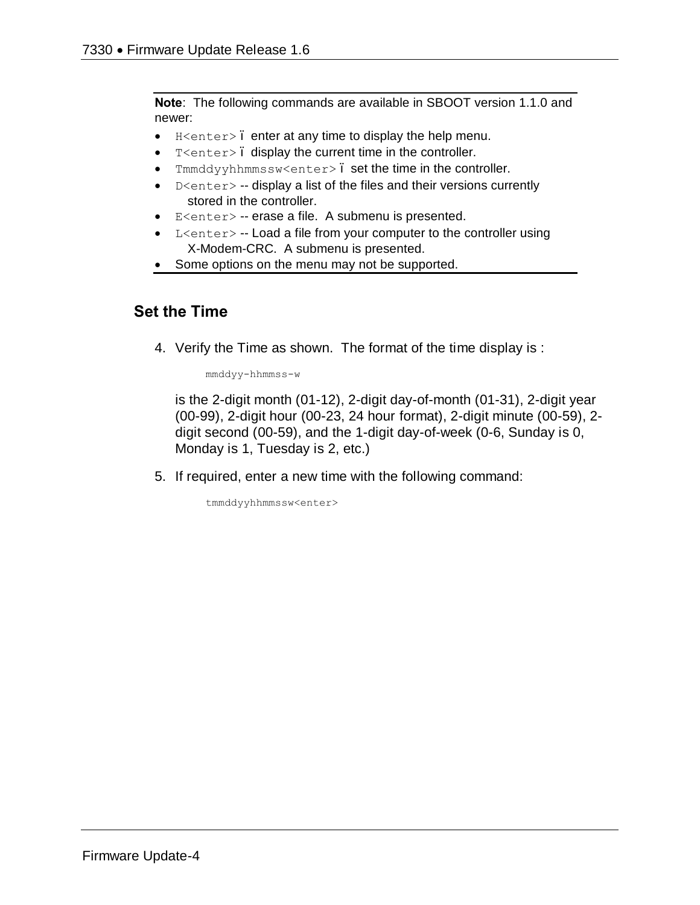**Note**: The following commands are available in SBOOT version 1.1.0 and newer:

- $\bullet$  H<enter>. enter at any time to display the help menu.
- · T<enter> display the current time in the controller.
- Tmmddyyhhmmssw<enter>. set the time in the controller.
- $D$ <enter> -- display a list of the files and their versions currently stored in the controller.
- · E<enter> -- erase a file. A submenu is presented.
- L<enter> -- Load a file from your computer to the controller using X-Modem-CRC. A submenu is presented.
- Some options on the menu may not be supported.

#### **Set the Time**

4. Verify the Time as shown. The format of the time display is :

mmddyy-hhmmss-w

is the 2-digit month (01-12), 2-digit day-of-month (01-31), 2-digit year (00-99), 2-digit hour (00-23, 24 hour format), 2-digit minute (00-59), 2 digit second (00-59), and the 1-digit day-of-week (0-6, Sunday is 0, Monday is 1, Tuesday is 2, etc.)

5. If required, enter a new time with the following command:

tmmddyyhhmmssw<enter>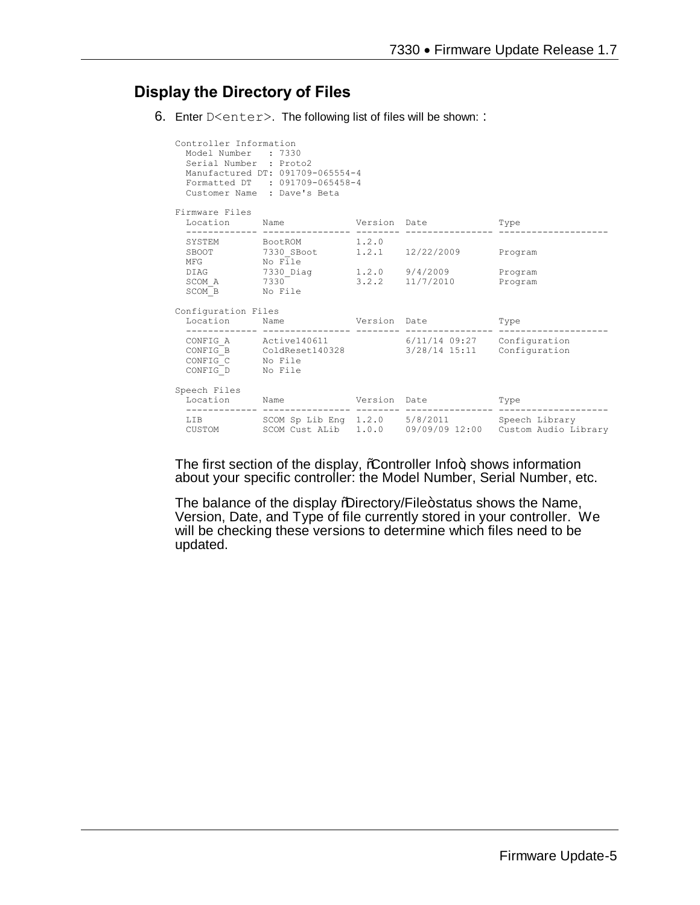#### **Display the Directory of Files**

6. Enter D<enter>. The following list of files will be shown: :

| Controller Information<br>Model Number : 7330<br>Serial Number : Proto2 | Manufactured DT: 091709-065554-4<br>Formatted DT : 091709-065458-4<br>Customer Name : Dave's Beta                                      |  |                                                          |
|-------------------------------------------------------------------------|----------------------------------------------------------------------------------------------------------------------------------------|--|----------------------------------------------------------|
| Firmware Files                                                          |                                                                                                                                        |  |                                                          |
|                                                                         | Location Name Version Date Type                                                                                                        |  |                                                          |
|                                                                         | SYSTEM BootROM 1.2.0                                                                                                                   |  |                                                          |
| SCOM B No File                                                          | DIAG 7330_Diag 1.2.0 9/4/2009<br>SCOM A $7330$ $3.2.2$ $11/7/2010$                                                                     |  | Program<br>Program                                       |
| Configuration Files                                                     |                                                                                                                                        |  |                                                          |
|                                                                         | Location Name Version Date                                                                                                             |  | Type                                                     |
| CONFIG D No File                                                        | CONFIG A Active140611 6/11/14 09:27 Configuration<br>$CONFIG\overline{B}$ ColdReset140328 3/28/14 15:11 Configuration CONFIG C No File |  |                                                          |
| Speech Files                                                            | Location Name Version Date                                                                                                             |  | Type                                                     |
| CUSTOM                                                                  | LIB SCOM Sp Lib Eng 1.2.0 5/8/2011 Speech Library                                                                                      |  | SCOM Cust ALib 1.0.0 09/09/09 12:00 Custom Audio Library |

The first section of the display, %Controller Info+, shows information about your specific controller: the Model Number, Serial Number, etc.

The balance of the display "Directory/File+status shows the Name, Version, Date, and Type of file currently stored in your controller. We will be checking these versions to determine which files need to be updated.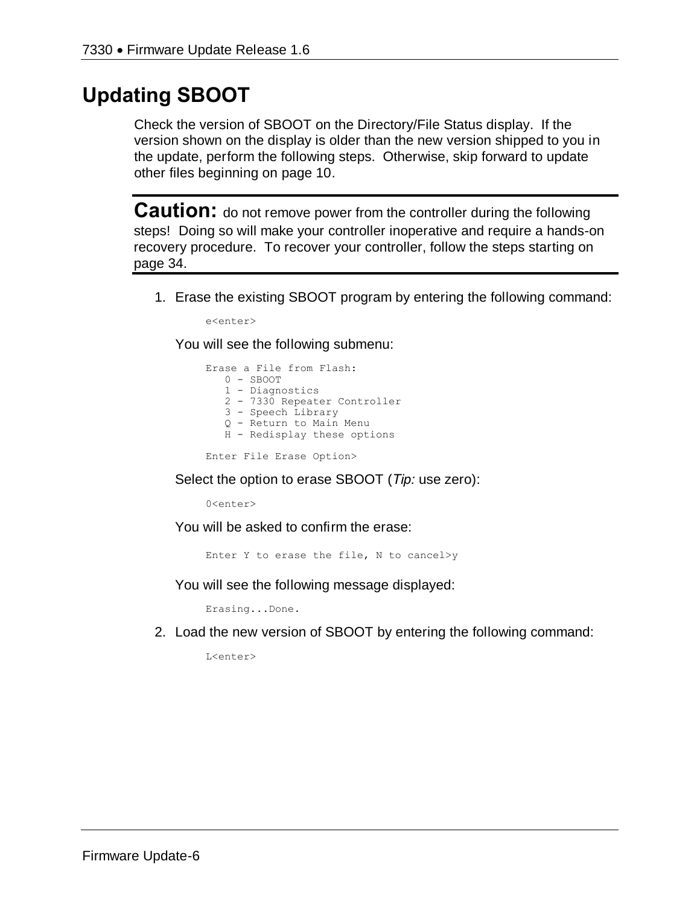# **Updating SBOOT**

Check the version of SBOOT on the Directory/File Status display. If the version shown on the display is older than the new version shipped to you in the update, perform the following steps. Otherwise, skip forward to update other files beginning on page 10.

**Caution:** do not remove power from the controller during the following steps! Doing so will make your controller inoperative and require a hands-on recovery procedure. To recover your controller, follow the steps starting on page 34.

1. Erase the existing SBOOT program by entering the following command:

e<enter>

You will see the following submenu:

```
Erase a File from Flash:
    0 - SBOOT
   1 - Diagnostics
    2 - 7330 Repeater Controller
    3 - Speech Library
  Q - Return to Main Menu
 H - Redisplay these options
```
Enter File Erase Option>

Select the option to erase SBOOT (*Tip:* use zero):

0<enter>

You will be asked to confirm the erase:

Enter Y to erase the file, N to cancel>y

You will see the following message displayed:

Erasing...Done.

2. Load the new version of SBOOT by entering the following command:

L<enter>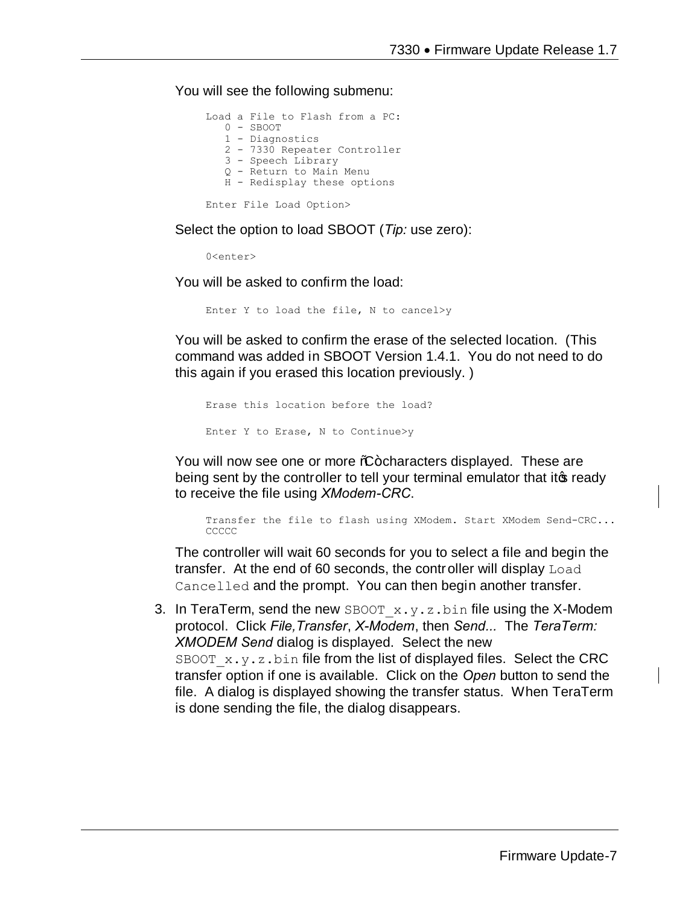You will see the following submenu:

```
Load a File to Flash from a PC:
    0 - SBOOT
    1 - Diagnostics
    2 - 7330 Repeater Controller
    3 - Speech Library
    Q - Return to Main Menu
    H - Redisplay these options
Enter File Load Option>
```
Select the option to load SBOOT (*Tip:* use zero):

0<enter>

You will be asked to confirm the load:

Enter Y to load the file, N to cancel>y

You will be asked to confirm the erase of the selected location. (This command was added in SBOOT Version 1.4.1. You do not need to do this again if you erased this location previously. )

```
Erase this location before the load?
Enter Y to Erase, N to Continue>y
```
You will now see one or more %-characters displayed. These are being sent by the controller to tell your terminal emulator that it to ready to receive the file using *XModem-CRC*.

Transfer the file to flash using XModem. Start XModem Send-CRC... CCCCC

The controller will wait 60 seconds for you to select a file and begin the transfer. At the end of 60 seconds, the controller will display Load Cancelled and the prompt. You can then begin another transfer.

3. In TeraTerm, send the new SBOOT  $x.y.z.bin$  file using the X-Modem protocol. Click *File,Transfer*, *X-Modem*, then *Send...* The *TeraTerm: XMODEM Send* dialog is displayed. Select the new SBOOT  $x.y.z$  bin file from the list of displayed files. Select the CRC transfer option if one is available. Click on the *Open* button to send the file. A dialog is displayed showing the transfer status. When TeraTerm is done sending the file, the dialog disappears.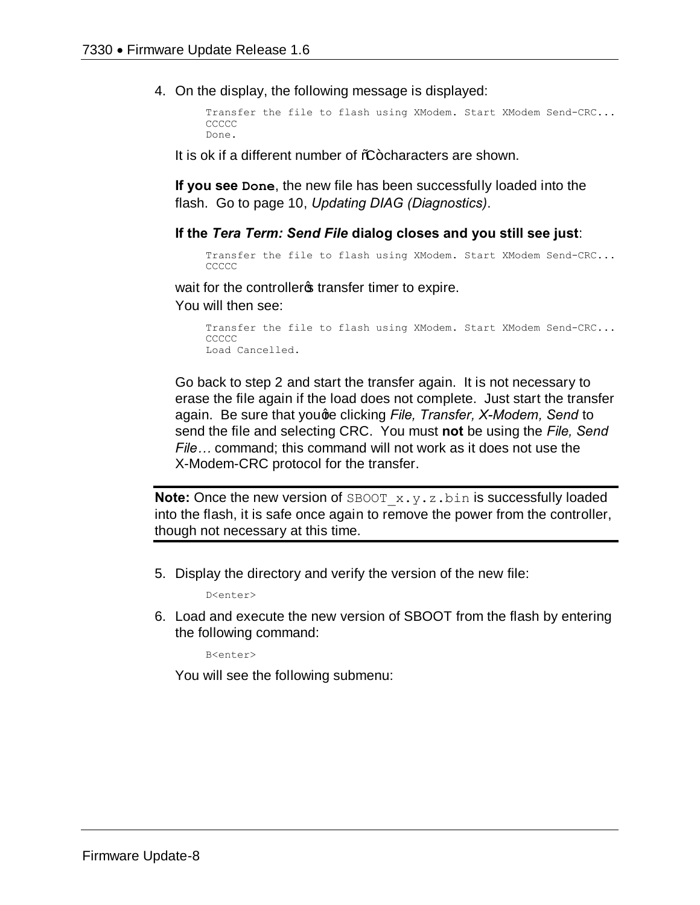4. On the display, the following message is displayed:

```
Transfer the file to flash using XModem. Start XModem Send-CRC...
CCCCC
Done.
```
It is ok if a different number of  $%F$ -characters are shown.

**If you see Done**, the new file has been successfully loaded into the flash. Go to page 10, *Updating DIAG (Diagnostics)*.

#### **If the** *Tera Term: Send File* **dialog closes and you still see just**:

```
Transfer the file to flash using XModem. Start XModem Send-CRC...
CCCCC
```
wait for the controller operture timer to expire.

You will then see:

```
Transfer the file to flash using XModem. Start XModem Send-CRC...
CCCCC
Load Cancelled.
```
Go back to step 2 and start the transfer again. It is not necessary to erase the file again if the load does not complete. Just start the transfer again. Be sure that youge clicking *File, Transfer, X-Modem, Send* to send the file and selecting CRC. You must **not** be using the *File, Send File…* command; this command will not work as it does not use the X-Modem-CRC protocol for the transfer.

**Note:** Once the new version of SBOOT x.y.z.bin is successfully loaded into the flash, it is safe once again to remove the power from the controller, though not necessary at this time.

5. Display the directory and verify the version of the new file:

D<enter>

6. Load and execute the new version of SBOOT from the flash by entering the following command:

B<enter>

You will see the following submenu: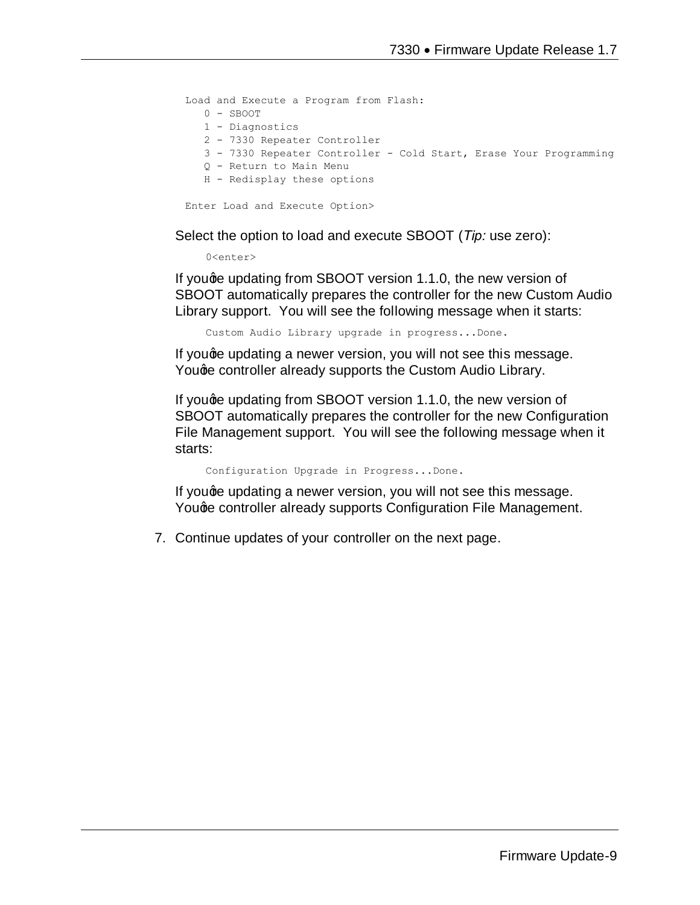Load and Execute a Program from Flash: 0 - SBOOT 1 - Diagnostics 2 - 7330 Repeater Controller 3 - 7330 Repeater Controller - Cold Start, Erase Your Programming Q - Return to Main Menu H - Redisplay these options Enter Load and Execute Option>

Select the option to load and execute SBOOT (*Tip:* use zero):

0<enter>

If youge updating from SBOOT version 1.1.0, the new version of SBOOT automatically prepares the controller for the new Custom Audio Library support. You will see the following message when it starts:

Custom Audio Library upgrade in progress...Done.

If you ge updating a newer version, you will not see this message. Youge controller already supports the Custom Audio Library.

If youge updating from SBOOT version 1.1.0, the new version of SBOOT automatically prepares the controller for the new Configuration File Management support. You will see the following message when it starts:

Configuration Upgrade in Progress...Done.

If youge updating a newer version, you will not see this message. Youge controller already supports Configuration File Management.

7. Continue updates of your controller on the next page.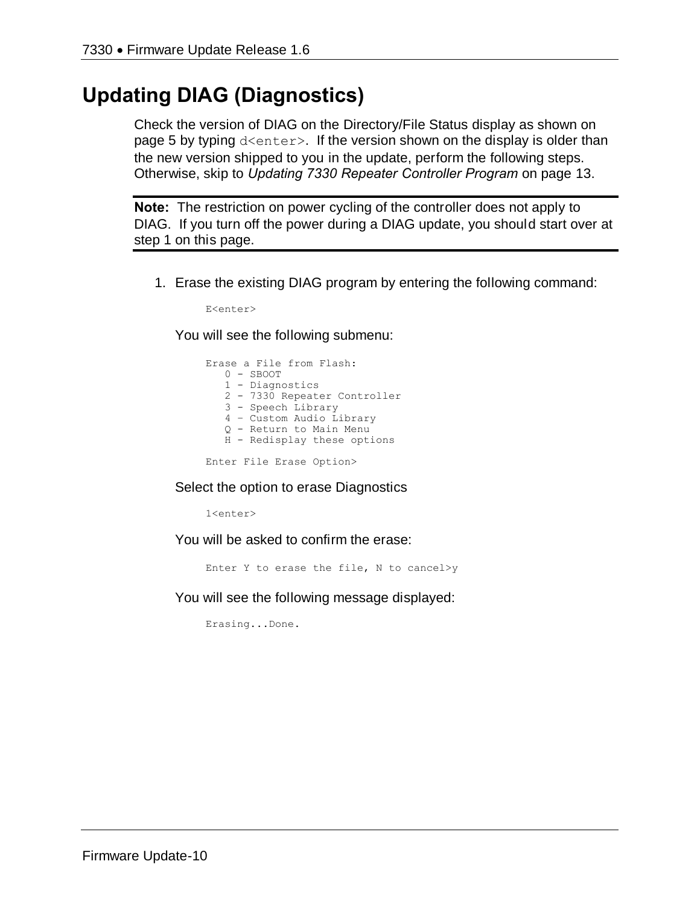# **Updating DIAG (Diagnostics)**

Check the version of DIAG on the Directory/File Status display as shown on page 5 by typing d<enter>. If the version shown on the display is older than the new version shipped to you in the update, perform the following steps. Otherwise, skip to *Updating 7330 Repeater Controller Program* on page 13.

**Note:** The restriction on power cycling of the controller does not apply to DIAG. If you turn off the power during a DIAG update, you should start over at step 1 on this page.

1. Erase the existing DIAG program by entering the following command:

E<enter>

You will see the following submenu:

```
Erase a File from Flash:
    0 - SBOOT
    1 - Diagnostics
    2 - 7330 Repeater Controller
    3 - Speech Library
    4 – Custom Audio Library
    Q - Return to Main Menu
    H - Redisplay these options
```
Enter File Erase Option>

Select the option to erase Diagnostics

1<enter>

You will be asked to confirm the erase:

Enter Y to erase the file, N to cancel>y

You will see the following message displayed:

Erasing...Done.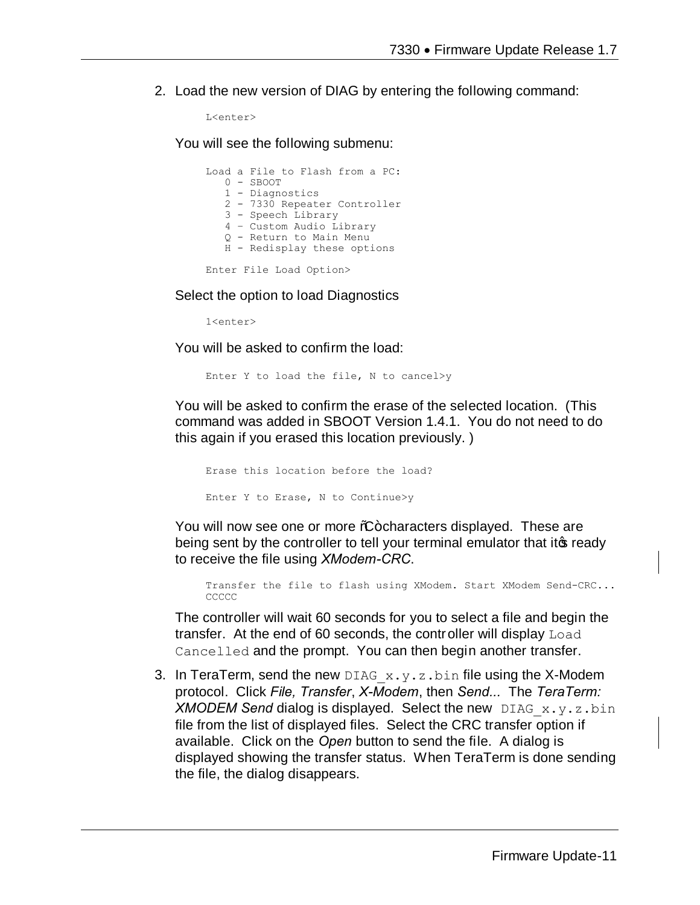2. Load the new version of DIAG by entering the following command:

```
L<enter>
```
You will see the following submenu:

|  | Load a File to Flash from a PC: |
|--|---------------------------------|
|  | $0 -$ SBOOT                     |
|  | 1 - Diagnostics                 |
|  | 2 - 7330 Repeater Controller    |
|  | 3 - Speech Library              |
|  | 4 - Custom Audio Library        |
|  | 0 - Return to Main Menu         |
|  | H - Redisplay these options     |
|  |                                 |

Enter File Load Option>

Select the option to load Diagnostics

1<enter>

You will be asked to confirm the load:

Enter Y to load the file, N to cancel>y

You will be asked to confirm the erase of the selected location. (This command was added in SBOOT Version 1.4.1. You do not need to do this again if you erased this location previously. )

Erase this location before the load? Enter Y to Erase, N to Continue>y

You will now see one or more %-characters displayed. These are being sent by the controller to tell your terminal emulator that it is ready to receive the file using *XModem-CRC*.

Transfer the file to flash using XModem. Start XModem Send-CRC... CCCCC

The controller will wait 60 seconds for you to select a file and begin the transfer. At the end of 60 seconds, the controller will display Load Cancelled and the prompt. You can then begin another transfer.

3. In TeraTerm, send the new DIAG  $x \cdot y \cdot z \cdot b$  in file using the X-Modem protocol. Click *File, Transfer*, *X-Modem*, then *Send...* The *TeraTerm: XMODEM Send* dialog is displayed. Select the new DIAG\_x.y.z.bin file from the list of displayed files. Select the CRC transfer option if available. Click on the *Open* button to send the file. A dialog is displayed showing the transfer status. When TeraTerm is done sending the file, the dialog disappears.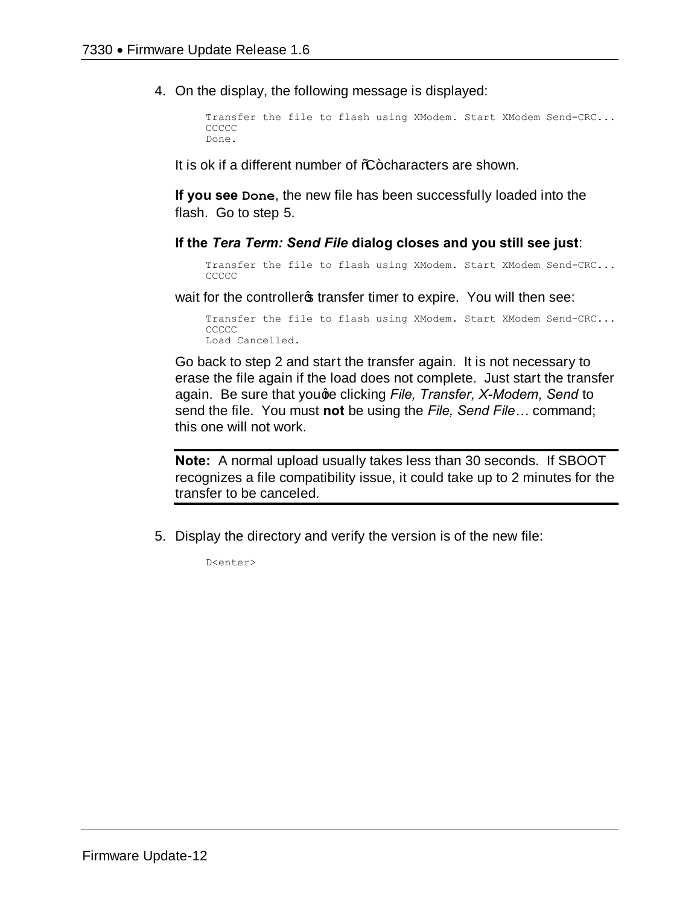4. On the display, the following message is displayed:

```
Transfer the file to flash using XModem. Start XModem Send-CRC...
CCCCC
Done.
```
It is ok if a different number of %-characters are shown.

**If you see Done**, the new file has been successfully loaded into the flash. Go to step 5.

**If the** *Tera Term: Send File* **dialog closes and you still see just**:

```
Transfer the file to flash using XModem. Start XModem Send-CRC...
CCCCC
```
wait for the controller of transfer timer to expire. You will then see:

Transfer the file to flash using XModem. Start XModem Send-CRC... CCCCC Load Cancelled.

Go back to step 2 and start the transfer again. It is not necessary to erase the file again if the load does not complete. Just start the transfer again. Be sure that youge clicking *File, Transfer, X-Modem, Send* to send the file. You must **not** be using the *File, Send File…* command; this one will not work.

**Note:** A normal upload usually takes less than 30 seconds. If SBOOT recognizes a file compatibility issue, it could take up to 2 minutes for the transfer to be canceled.

5. Display the directory and verify the version is of the new file:

D<enter>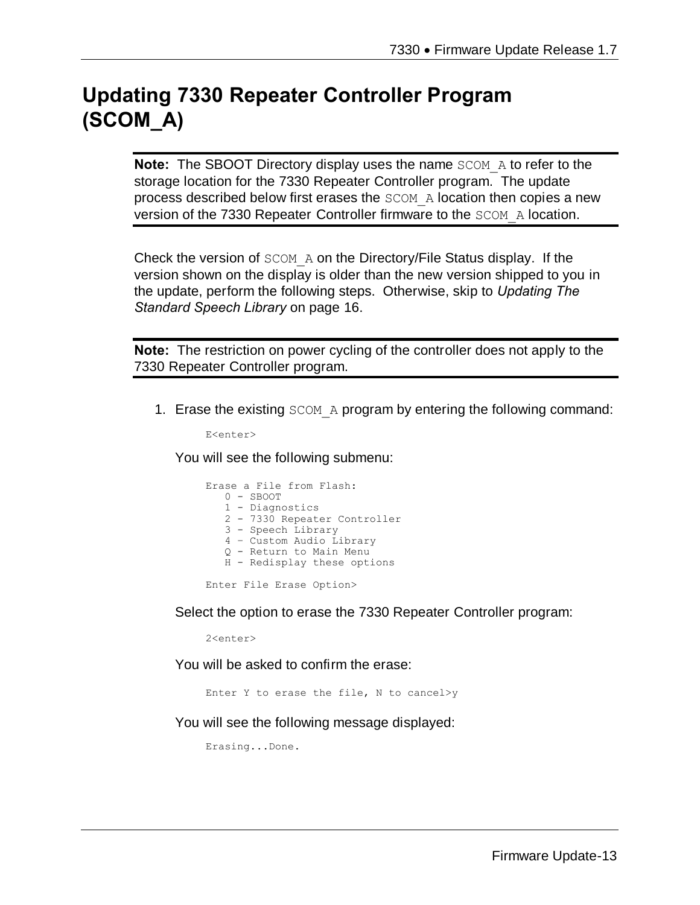# **Updating 7330 Repeater Controller Program (SCOM\_A)**

**Note:** The SBOOT Directory display uses the name SCOM A to refer to the storage location for the 7330 Repeater Controller program. The update process described below first erases the SCOM\_A location then copies a new version of the 7330 Repeater Controller firmware to the SCOM\_A location.

Check the version of SCOM\_A on the Directory/File Status display. If the version shown on the display is older than the new version shipped to you in the update, perform the following steps. Otherwise, skip to *Updating The Standard Speech Library* on page 16.

**Note:** The restriction on power cycling of the controller does not apply to the 7330 Repeater Controller program.

1. Erase the existing SCOM A program by entering the following command:

E<enter>

You will see the following submenu:

|  | Erase a File from Flash:     |
|--|------------------------------|
|  | $0 -$ SBOOT                  |
|  | 1 - Diagnostics              |
|  | 2 - 7330 Repeater Controller |
|  | 3 - Speech Library           |
|  | 4 - Custom Audio Library     |
|  | 0 - Return to Main Menu      |
|  | H - Redisplay these options  |
|  |                              |

Enter File Erase Option>

Select the option to erase the 7330 Repeater Controller program:

2<enter>

You will be asked to confirm the erase:

Enter Y to erase the file, N to cancel>y

You will see the following message displayed:

Erasing...Done.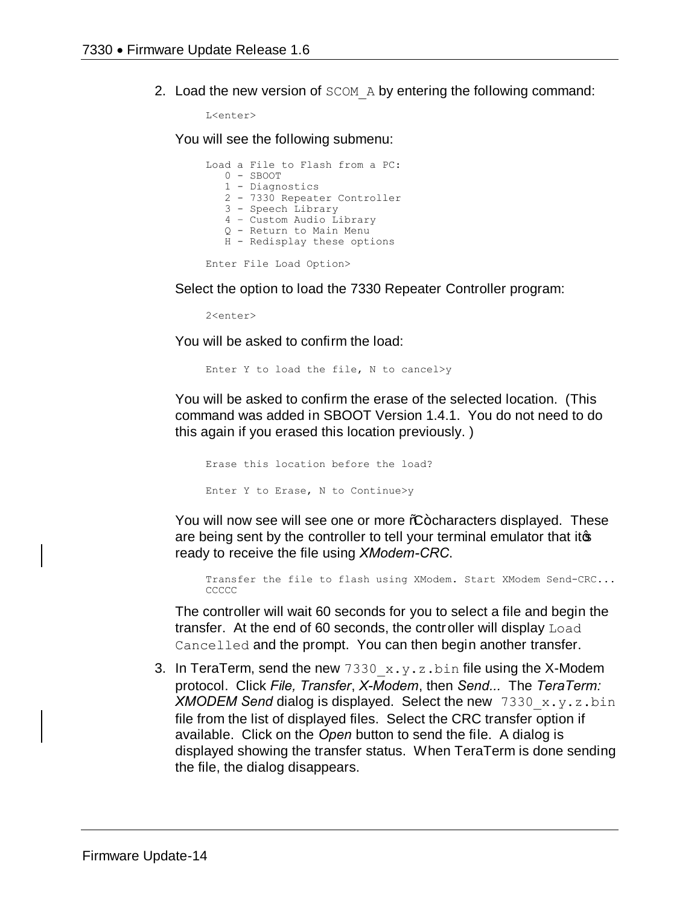2. Load the new version of SCOM A by entering the following command:

L<enter>

You will see the following submenu:

Load a File to Flash from a PC: 0 - SBOOT 1 - Diagnostics 2 - 7330 Repeater Controller 3 - Speech Library 4 – Custom Audio Library Q - Return to Main Menu H - Redisplay these options Enter File Load Option>

Select the option to load the 7330 Repeater Controller program:

2<enter>

You will be asked to confirm the load:

Enter Y to load the file, N to cancel>y

You will be asked to confirm the erase of the selected location. (This command was added in SBOOT Version 1.4.1. You do not need to do this again if you erased this location previously. )

Erase this location before the load? Enter Y to Erase, N to Continue>y

You will now see will see one or more %+ characters displayed. These are being sent by the controller to tell your terminal emulator that it $\phi$ ready to receive the file using *XModem-CRC*.

Transfer the file to flash using XModem. Start XModem Send-CRC... CCCCC

The controller will wait 60 seconds for you to select a file and begin the transfer. At the end of 60 seconds, the controller will display Load Cancelled and the prompt. You can then begin another transfer.

3. In TeraTerm, send the new  $7330\,x.y.z.bin$  file using the X-Modem protocol. Click *File, Transfer*, *X-Modem*, then *Send...* The *TeraTerm: XMODEM Send* dialog is displayed. Select the new 7330\_x.y.z.bin file from the list of displayed files. Select the CRC transfer option if available. Click on the *Open* button to send the file. A dialog is displayed showing the transfer status. When TeraTerm is done sending the file, the dialog disappears.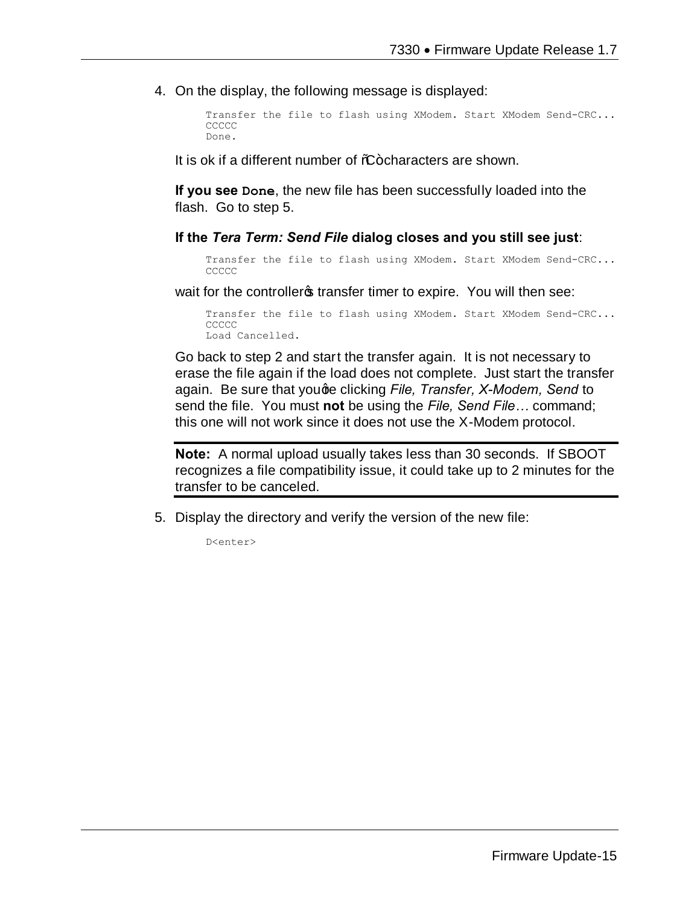4. On the display, the following message is displayed:

```
Transfer the file to flash using XModem. Start XModem Send-CRC...
CCCCC
Done.
```
It is ok if a different number of  $%+$ characters are shown.

**If you see Done**, the new file has been successfully loaded into the flash. Go to step 5.

#### **If the** *Tera Term: Send File* **dialog closes and you still see just**:

```
Transfer the file to flash using XModem. Start XModem Send-CRC...
CCCCC
```
wait for the controller transfer timer to expire. You will then see:

```
Transfer the file to flash using XModem. Start XModem Send-CRC...
CCCCC
Load Cancelled.
```
Go back to step 2 and start the transfer again. It is not necessary to erase the file again if the load does not complete. Just start the transfer again. Be sure that youge clicking *File, Transfer, X-Modem, Send* to send the file. You must **not** be using the *File, Send File…* command; this one will not work since it does not use the X-Modem protocol.

**Note:** A normal upload usually takes less than 30 seconds. If SBOOT recognizes a file compatibility issue, it could take up to 2 minutes for the transfer to be canceled.

5. Display the directory and verify the version of the new file:

D<enter>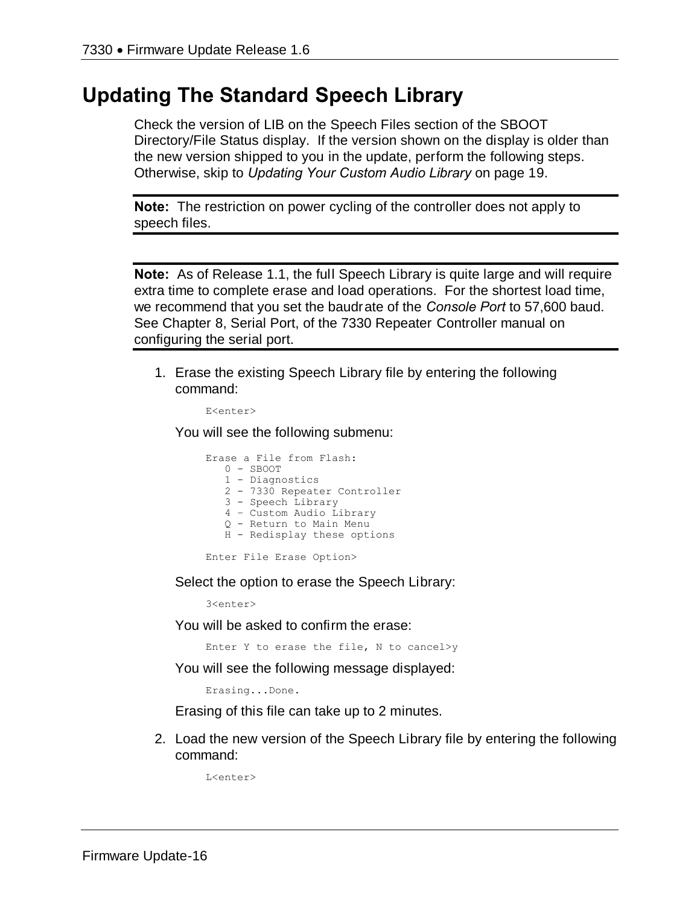## **Updating The Standard Speech Library**

Check the version of LIB on the Speech Files section of the SBOOT Directory/File Status display. If the version shown on the display is older than the new version shipped to you in the update, perform the following steps. Otherwise, skip to *Updating Your Custom Audio Library* on page 19.

**Note:** The restriction on power cycling of the controller does not apply to speech files.

**Note:** As of Release 1.1, the full Speech Library is quite large and will require extra time to complete erase and load operations. For the shortest load time, we recommend that you set the baudrate of the *Console Port* to 57,600 baud. See Chapter 8, Serial Port, of the 7330 Repeater Controller manual on configuring the serial port.

1. Erase the existing Speech Library file by entering the following command:

```
E<enter>
```
You will see the following submenu:

|  | Erase a File from Flash:     |
|--|------------------------------|
|  | $0 -$ SBOOT                  |
|  | 1 - Diagnostics              |
|  | 2 - 7330 Repeater Controller |
|  | 3 - Speech Library           |
|  | 4 - Custom Audio Library     |
|  | 0 - Return to Main Menu      |
|  | H - Redisplay these options  |
|  |                              |

Enter File Erase Option>

Select the option to erase the Speech Library:

3<enter>

You will be asked to confirm the erase:

Enter Y to erase the file, N to cancel>y

You will see the following message displayed:

Erasing...Done.

Erasing of this file can take up to 2 minutes.

2. Load the new version of the Speech Library file by entering the following command:

 $L \leq n + \epsilon r$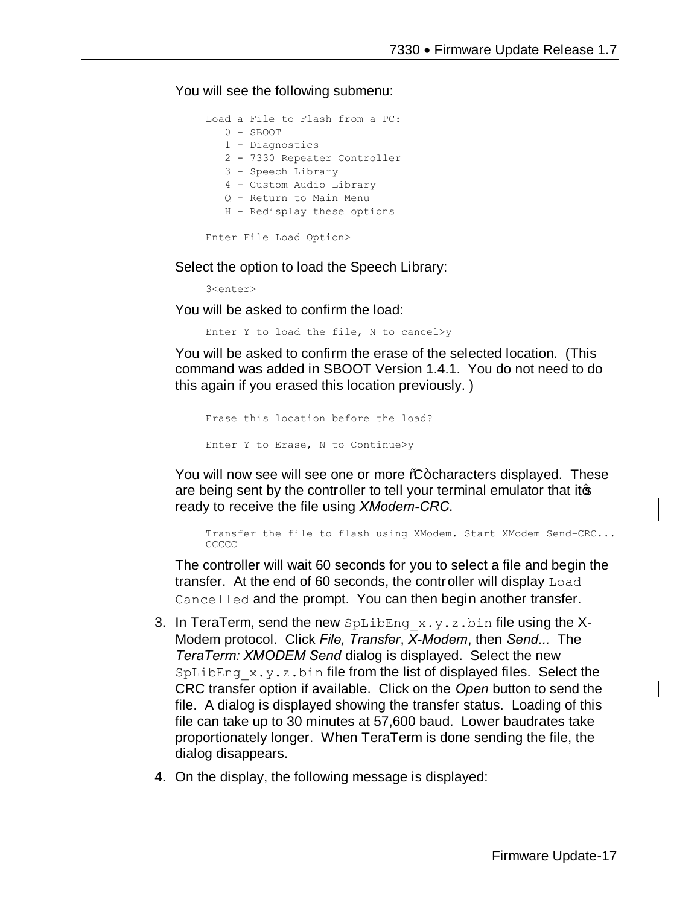You will see the following submenu:

Load a File to Flash from a PC: 0 - SBOOT 1 - Diagnostics 2 - 7330 Repeater Controller 3 - Speech Library 4 – Custom Audio Library Q - Return to Main Menu H - Redisplay these options Enter File Load Option>

Select the option to load the Speech Library:

3<enter>

You will be asked to confirm the load:

Enter Y to load the file, N to cancel>y

You will be asked to confirm the erase of the selected location. (This command was added in SBOOT Version 1.4.1. You do not need to do this again if you erased this location previously. )

Erase this location before the load? Enter Y to Erase, N to Continue>y

You will now see will see one or more %-characters displayed. These are being sent by the controller to tell your terminal emulator that itos ready to receive the file using *XModem-CRC*.

Transfer the file to flash using XModem. Start XModem Send-CRC... **CCCCC** 

The controller will wait 60 seconds for you to select a file and begin the transfer. At the end of 60 seconds, the controller will display Load Cancelled and the prompt. You can then begin another transfer.

- 3. In TeraTerm, send the new  $SpLibEng \times y.z.bin$  file using the X-Modem protocol. Click *File, Transfer*, *X-Modem*, then *Send...* The *TeraTerm: XMODEM Send* dialog is displayed. Select the new  $SpLibEng \times y. z. bin$  file from the list of displayed files. Select the CRC transfer option if available. Click on the *Open* button to send the file. A dialog is displayed showing the transfer status. Loading of this file can take up to 30 minutes at 57,600 baud. Lower baudrates take proportionately longer. When TeraTerm is done sending the file, the dialog disappears.
- 4. On the display, the following message is displayed: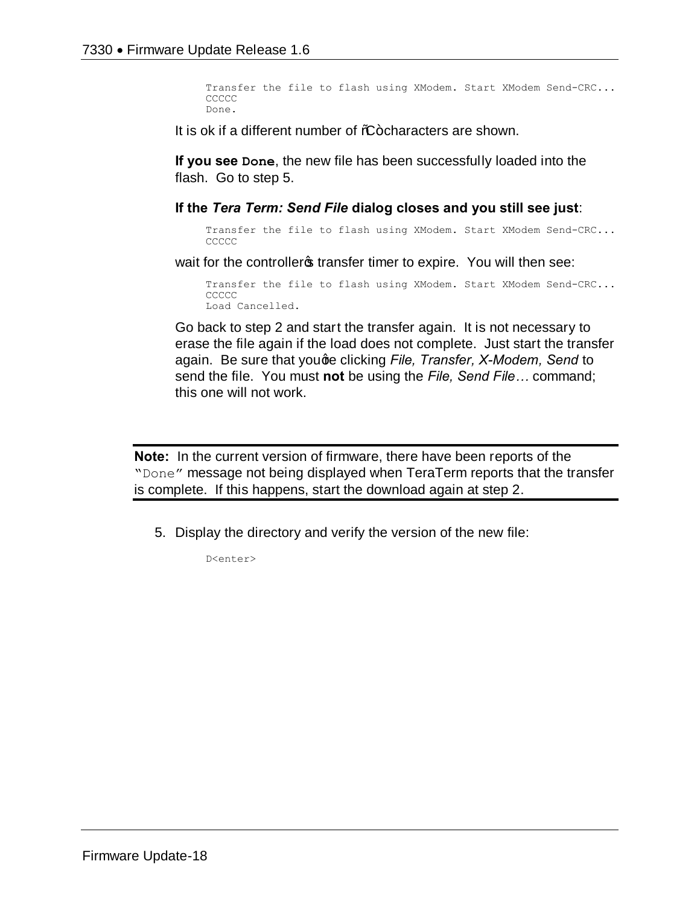Transfer the file to flash using XModem. Start XModem Send-CRC... **CCCCC** Done.

It is ok if a different number of %-characters are shown.

**If you see Done**, the new file has been successfully loaded into the flash. Go to step 5.

**If the** *Tera Term: Send File* **dialog closes and you still see just**:

Transfer the file to flash using XModem. Start XModem Send-CRC... **CCCCC** 

wait for the controller of transfer timer to expire. You will then see:

Transfer the file to flash using XModem. Start XModem Send-CRC... **CCCCC** Load Cancelled.

Go back to step 2 and start the transfer again. It is not necessary to erase the file again if the load does not complete. Just start the transfer again. Be sure that youge clicking *File, Transfer, X-Modem, Send* to send the file. You must **not** be using the *File, Send File…* command; this one will not work.

**Note:** In the current version of firmware, there have been reports of the "Done" message not being displayed when TeraTerm reports that the transfer is complete. If this happens, start the download again at step 2.

5. Display the directory and verify the version of the new file:

D<enter>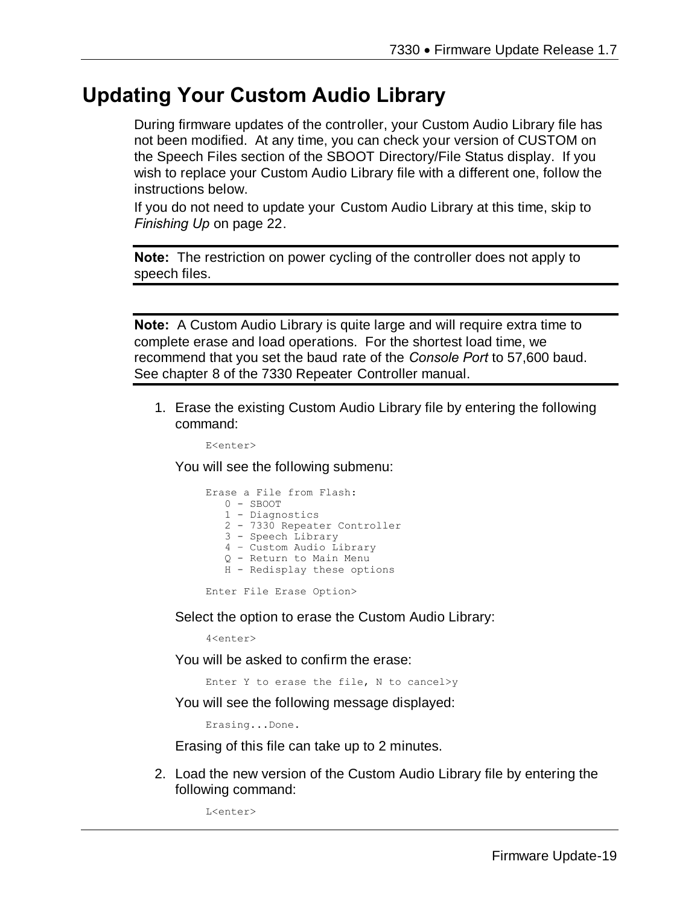# **Updating Your Custom Audio Library**

During firmware updates of the controller, your Custom Audio Library file has not been modified. At any time, you can check your version of CUSTOM on the Speech Files section of the SBOOT Directory/File Status display. If you wish to replace your Custom Audio Library file with a different one, follow the instructions below.

If you do not need to update your Custom Audio Library at this time, skip to *Finishing Up* on page 22.

**Note:** The restriction on power cycling of the controller does not apply to speech files.

**Note:** A Custom Audio Library is quite large and will require extra time to complete erase and load operations. For the shortest load time, we recommend that you set the baud rate of the *Console Port* to 57,600 baud. See chapter 8 of the 7330 Repeater Controller manual.

1. Erase the existing Custom Audio Library file by entering the following command:

E<enter>

You will see the following submenu:

|  | Erase a File from Flash:     |
|--|------------------------------|
|  | $0 -$ SBOOT                  |
|  | 1 - Diagnostics              |
|  | 2 - 7330 Repeater Controller |
|  | 3 - Speech Library           |
|  | 4 - Custom Audio Library     |
|  | 0 - Return to Main Menu      |
|  | H - Redisplay these options  |
|  |                              |

Enter File Erase Option>

Select the option to erase the Custom Audio Library:

4<enter>

You will be asked to confirm the erase:

Enter Y to erase the file, N to cancel>y

You will see the following message displayed:

Erasing...Done.

Erasing of this file can take up to 2 minutes.

2. Load the new version of the Custom Audio Library file by entering the following command:

L<enter>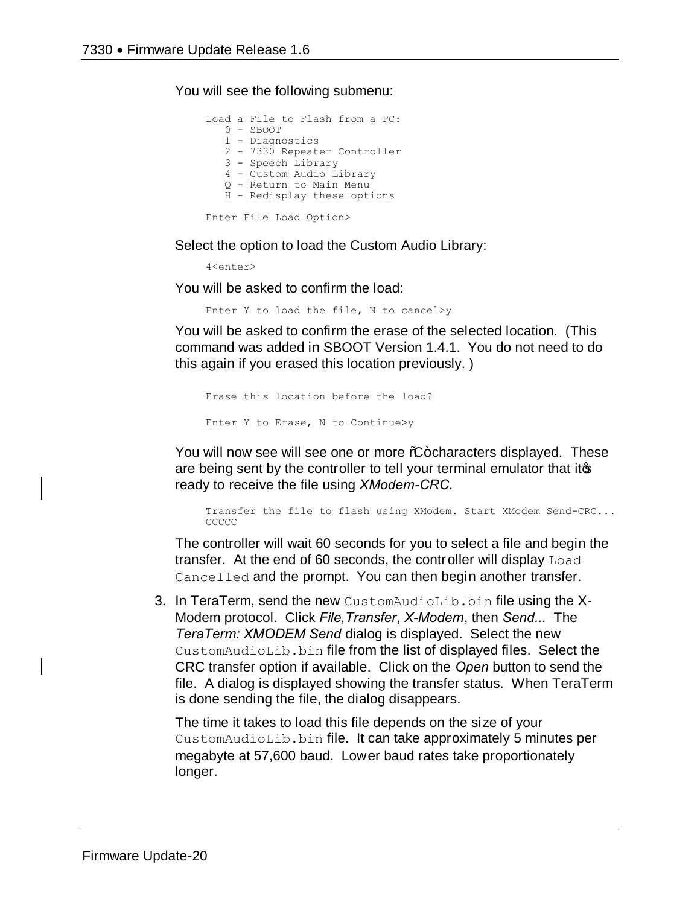You will see the following submenu:

Load a File to Flash from a PC: 0 - SBOOT 1 - Diagnostics 2 - 7330 Repeater Controller 3 - Speech Library 4 – Custom Audio Library Q - Return to Main Menu H - Redisplay these options Enter File Load Option>

Select the option to load the Custom Audio Library:

4<enter>

You will be asked to confirm the load:

Enter Y to load the file, N to cancel>y

You will be asked to confirm the erase of the selected location. (This command was added in SBOOT Version 1.4.1. You do not need to do this again if you erased this location previously. )

```
Erase this location before the load?
Enter Y to Erase, N to Continue>y
```
You will now see will see one or more %+ characters displayed. These are being sent by the controller to tell your terminal emulator that itos ready to receive the file using *XModem-CRC*.

Transfer the file to flash using XModem. Start XModem Send-CRC... CCCCC

The controller will wait 60 seconds for you to select a file and begin the transfer. At the end of 60 seconds, the controller will display Load Cancelled and the prompt. You can then begin another transfer.

3. In TeraTerm, send the new CustomAudioLib.bin file using the X-Modem protocol. Click *File,Transfer*, *X-Modem*, then *Send...* The *TeraTerm: XMODEM Send* dialog is displayed. Select the new CustomAudioLib.bin file from the list of displayed files. Select the CRC transfer option if available. Click on the *Open* button to send the file. A dialog is displayed showing the transfer status. When TeraTerm is done sending the file, the dialog disappears.

The time it takes to load this file depends on the size of your CustomAudioLib.bin file. It can take approximately 5 minutes per megabyte at 57,600 baud. Lower baud rates take proportionately longer.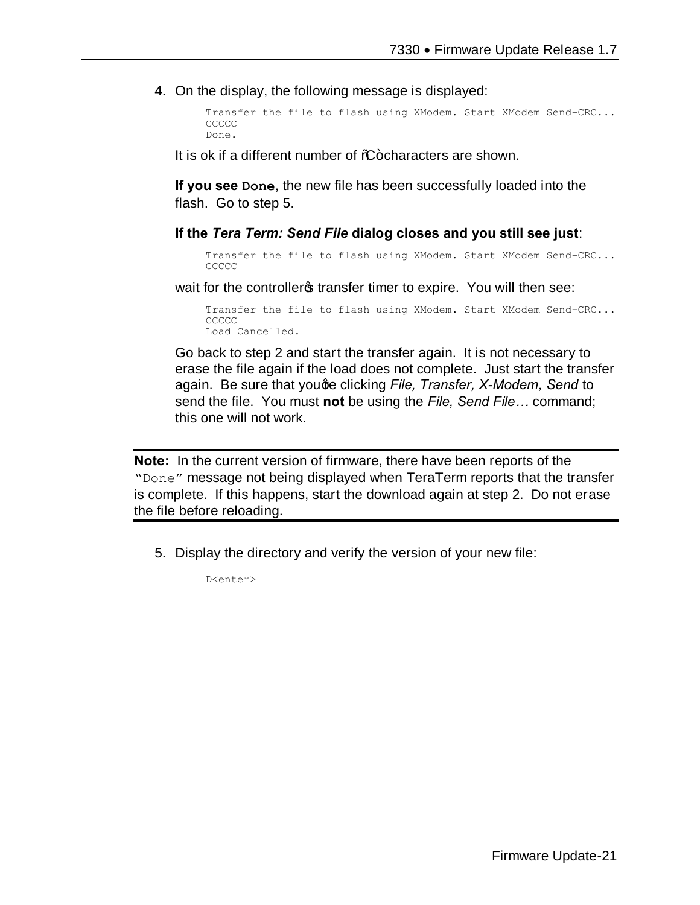4. On the display, the following message is displayed:

```
Transfer the file to flash using XModem. Start XModem Send-CRC...
CCCCC
Done.
```
It is ok if a different number of %-characters are shown.

**If you see Done**, the new file has been successfully loaded into the flash. Go to step 5.

#### **If the** *Tera Term: Send File* **dialog closes and you still see just**:

Transfer the file to flash using XModem. Start XModem Send-CRC... **CCCCC** 

wait for the controller transfer timer to expire. You will then see:

Transfer the file to flash using XModem. Start XModem Send-CRC... **CCCCC** Load Cancelled.

Go back to step 2 and start the transfer again. It is not necessary to erase the file again if the load does not complete. Just start the transfer again. Be sure that youge clicking *File, Transfer, X-Modem, Send* to send the file. You must **not** be using the *File, Send File…* command; this one will not work.

**Note:** In the current version of firmware, there have been reports of the "Done" message not being displayed when TeraTerm reports that the transfer is complete. If this happens, start the download again at step 2. Do not erase the file before reloading.

5. Display the directory and verify the version of your new file:

D<enter>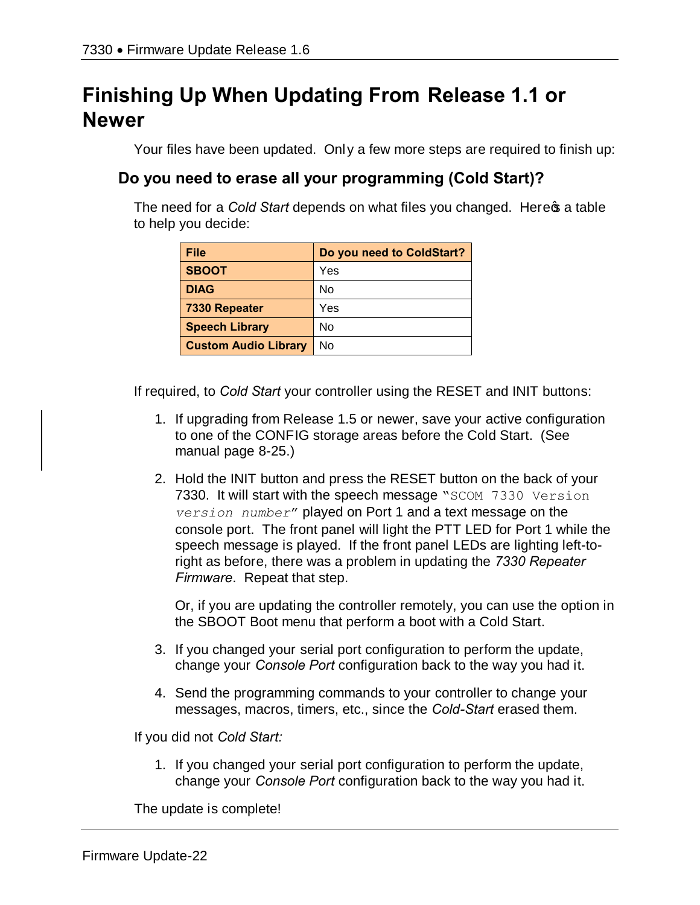# **Finishing Up When Updating From Release 1.1 or Newer**

Your files have been updated. Only a few more steps are required to finish up:

### **Do you need to erase all your programming (Cold Start)?**

The need for a *Cold Start* depends on what files you changed. Here **s** a table to help you decide:

| File                        | Do you need to ColdStart? |
|-----------------------------|---------------------------|
| <b>SBOOT</b>                | Yes                       |
| <b>DIAG</b>                 | No                        |
| 7330 Repeater               | Yes                       |
| <b>Speech Library</b>       | No                        |
| <b>Custom Audio Library</b> | No                        |

If required, to *Cold Start* your controller using the RESET and INIT buttons:

- 1. If upgrading from Release 1.5 or newer, save your active configuration to one of the CONFIG storage areas before the Cold Start. (See manual page 8-25.)
- 2. Hold the INIT button and press the RESET button on the back of your 7330. It will start with the speech message "SCOM 7330 Version *version number*" played on Port 1 and a text message on the console port. The front panel will light the PTT LED for Port 1 while the speech message is played. If the front panel LEDs are lighting left-toright as before, there was a problem in updating the *7330 Repeater Firmware*. Repeat that step.

Or, if you are updating the controller remotely, you can use the option in the SBOOT Boot menu that perform a boot with a Cold Start.

- 3. If you changed your serial port configuration to perform the update, change your *Console Port* configuration back to the way you had it.
- 4. Send the programming commands to your controller to change your messages, macros, timers, etc., since the *Cold-Start* erased them.

If you did not *Cold Start:*

1. If you changed your serial port configuration to perform the update, change your *Console Port* configuration back to the way you had it.

The update is complete!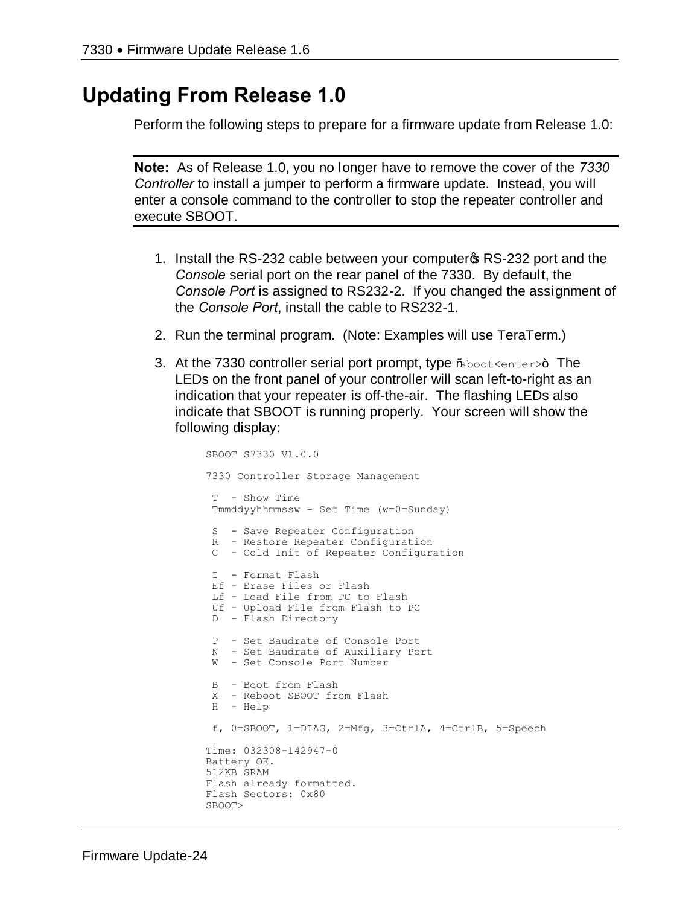## **Updating From Release 1.0**

Perform the following steps to prepare for a firmware update from Release 1.0:

**Note:** As of Release 1.0, you no longer have to remove the cover of the *7330 Controller* to install a jumper to perform a firmware update. Instead, you will enter a console command to the controller to stop the repeater controller and execute SBOOT.

- 1. Install the RS-232 cable between your computer of RS-232 port and the *Console* serial port on the rear panel of the 7330. By default, the *Console Port* is assigned to RS232-2. If you changed the assignment of the *Console Port*, install the cable to RS232-1.
- 2. Run the terminal program. (Note: Examples will use TeraTerm.)
- 3. At the 7330 controller serial port prompt, type  $\%$ boot $\leq$ enter $>$ +. The LEDs on the front panel of your controller will scan left-to-right as an indication that your repeater is off-the-air. The flashing LEDs also indicate that SBOOT is running properly. Your screen will show the following display:

```
SBOOT S7330 V1.0.0
7330 Controller Storage Management
T - Show Time
Tmmddyyhhmmssw - Set Time (w=0=Sunday)
S - Save Repeater Configuration
R - Restore Repeater Configuration
C - Cold Init of Repeater Configuration
I - Format Flash
Ef - Erase Files or Flash
Lf - Load File from PC to Flash
Uf - Upload File from Flash to PC
D - Flash Directory
P - Set Baudrate of Console Port
N - Set Baudrate of Auxiliary Port
W - Set Console Port Number
B - Boot from Flash
X - Reboot SBOOT from Flash
H - Help
f, 0=SBOOT, 1=DIAG, 2=Mfg, 3=CtrlA, 4=CtrlB, 5=Speech
Time: 032308-142947-0
Battery OK.
512KB SRAM
Flash already formatted.
Flash Sectors: 0x80
SBOOT>
```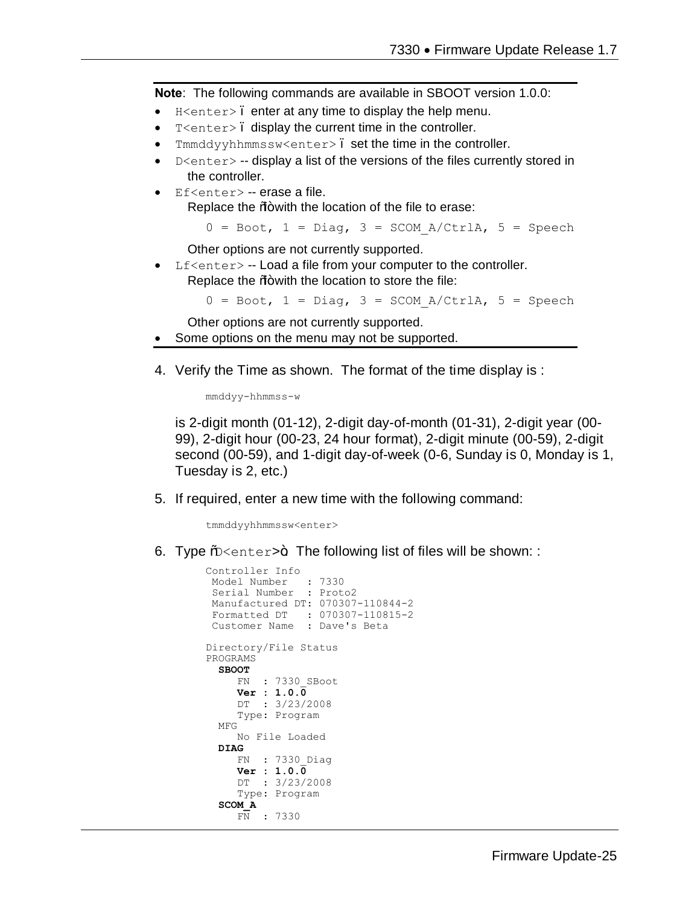**Note**: The following commands are available in SBOOT version 1.0.0:

- $H$ <enter>. enter at any time to display the help menu.
- T<enter>. display the current time in the controller.
- Tmmddyyhhmmssw<enter>. set the time in the controller.
- $D \leq h$  -- display a list of the versions of the files currently stored in the controller.
- · Ef<enter> -- erase a file. Replace the %+ with the location of the file to erase:

 $0 = \text{Boot}$ ,  $1 = \text{Diag}$ ,  $3 = \text{SCOM}$   $A/CtrlA$ ,  $5 = \text{Speech}$ 

Other options are not currently supported.

Lf<enter> -- Load a file from your computer to the controller. Replace the  $%$  with the location to store the file:

 $0 = \text{Boot}$ ,  $1 = \text{Diag}$ ,  $3 = \text{SCOM}$   $A/CtrlA$ ,  $5 = \text{Speech}$ 

Other options are not currently supported.

- Some options on the menu may not be supported.
- 4. Verify the Time as shown. The format of the time display is :

mmddyy-hhmmss-w

is 2-digit month (01-12), 2-digit day-of-month (01-31), 2-digit year (00- 99), 2-digit hour (00-23, 24 hour format), 2-digit minute (00-59), 2-digit second (00-59), and 1-digit day-of-week (0-6, Sunday is 0, Monday is 1, Tuesday is 2, etc.)

5. If required, enter a new time with the following command:

tmmddyyhhmmssw<enter>

6. Type %  $\epsilon$ enter>+. The following list of files will be shown: :

```
Controller Info
 Model Number : 7330
 Serial Number : Proto2
Manufactured DT: 070307-110844-2
 Formatted DT : 070307-110815-2
 Customer Name : Dave's Beta
Directory/File Status
PROGRAMS
  SBOOT
      FN : 7330_SBoot
      Ver : 1.0.0
     DT : 3/23/2008
     Type: Program
  MFG
     No File Loaded
  DIAG
      FN : 7330_Diag
      Ver : 1.0.0
      DT : 3/23/2008
      Type: Program
   SCOM_A
     FN : 7330
```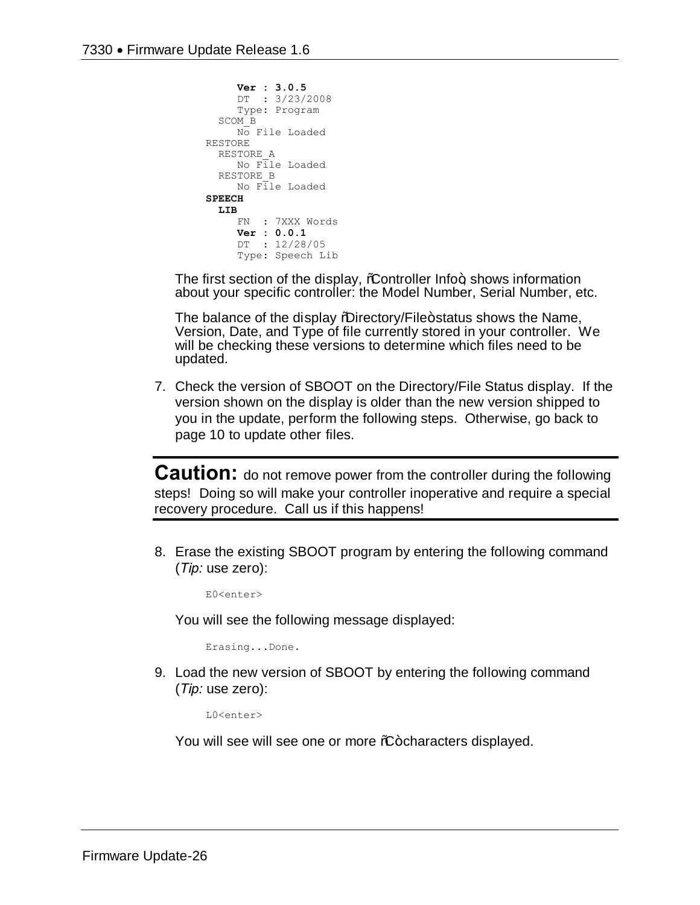```
 Ver : 3.0.5
      DT : 3/23/2008
      Type: Program
   SCOM_B
     No File Loaded
RESTORE
  RESTORE_A
     No File Loaded
   RESTORE_B
      No File Loaded
SPEECH
   LIB
     FN : 7XXX Words
     Ver : 0.0.1
      DT : 12/28/05
      Type: Speech Lib
```
The first section of the display,  $%$  controller Info $+$ , shows information about your specific controller: the Model Number, Serial Number, etc.

The balance of the display %Directory/File+status shows the Name, Version, Date, and Type of file currently stored in your controller. We will be checking these versions to determine which files need to be updated.

7. Check the version of SBOOT on the Directory/File Status display. If the version shown on the display is older than the new version shipped to you in the update, perform the following steps. Otherwise, go back to page 10 to update other files.

**Caution:** do not remove power from the controller during the following steps! Doing so will make your controller inoperative and require a special recovery procedure. Call us if this happens!

8. Erase the existing SBOOT program by entering the following command (*Tip:* use zero):

E0<enter>

You will see the following message displayed:

Erasing...Done.

9. Load the new version of SBOOT by entering the following command (*Tip:* use zero):

L0<enter>

You will see will see one or more %-characters displayed.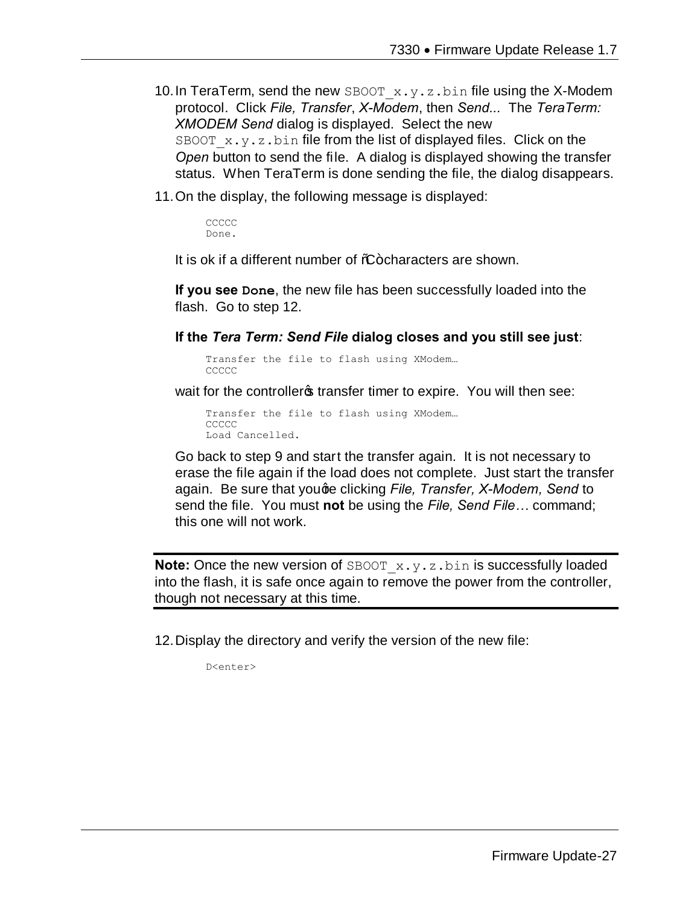- 10. In TeraTerm, send the new  $SBOOT_x.y.z.bin$  file using the X-Modem protocol. Click *File, Transfer*, *X-Modem*, then *Send...* The *TeraTerm: XMODEM Send* dialog is displayed. Select the new SBOOT  $x.y.z.bin$  file from the list of displayed files. Click on the *Open* button to send the file. A dialog is displayed showing the transfer status. When TeraTerm is done sending the file, the dialog disappears.
- 11.On the display, the following message is displayed:

**CCCCC** Done.

It is ok if a different number of %-characters are shown.

**If you see Done**, the new file has been successfully loaded into the flash. Go to step 12.

**If the** *Tera Term: Send File* **dialog closes and you still see just**:

Transfer the file to flash using XModem… CCCCC

wait for the controllers transfer timer to expire. You will then see:

Transfer the file to flash using XModem… CCCCC Load Cancelled.

Go back to step 9 and start the transfer again. It is not necessary to erase the file again if the load does not complete. Just start the transfer again. Be sure that youge clicking *File, Transfer, X-Modem, Send* to send the file. You must **not** be using the *File, Send File…* command; this one will not work.

**Note:** Once the new version of SBOOT  $x \cdot y \cdot z \cdot b$  in is successfully loaded into the flash, it is safe once again to remove the power from the controller, though not necessary at this time.

12.Display the directory and verify the version of the new file:

D<enter>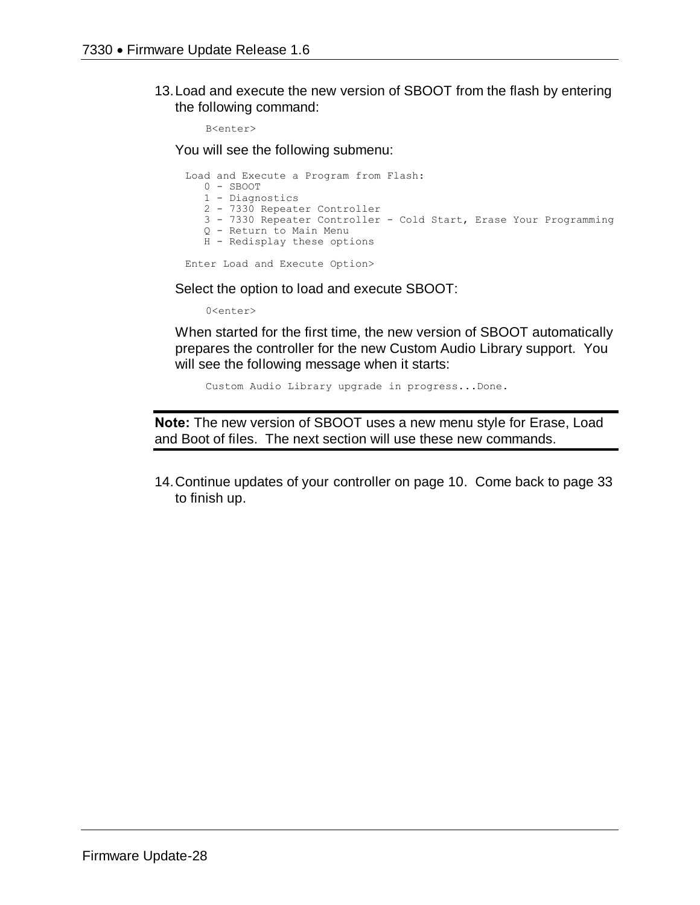13.Load and execute the new version of SBOOT from the flash by entering the following command:

B<enter>

You will see the following submenu:

Load and Execute a Program from Flash: 0 - SBOOT 1 - Diagnostics 2 - 7330 Repeater Controller 3 - 7330 Repeater Controller - Cold Start, Erase Your Programming Q - Return to Main Menu H - Redisplay these options Enter Load and Execute Option>

Select the option to load and execute SBOOT:

0<enter>

When started for the first time, the new version of SBOOT automatically prepares the controller for the new Custom Audio Library support. You will see the following message when it starts:

Custom Audio Library upgrade in progress...Done.

**Note:** The new version of SBOOT uses a new menu style for Erase, Load and Boot of files. The next section will use these new commands.

14.Continue updates of your controller on page 10. Come back to page 33 to finish up.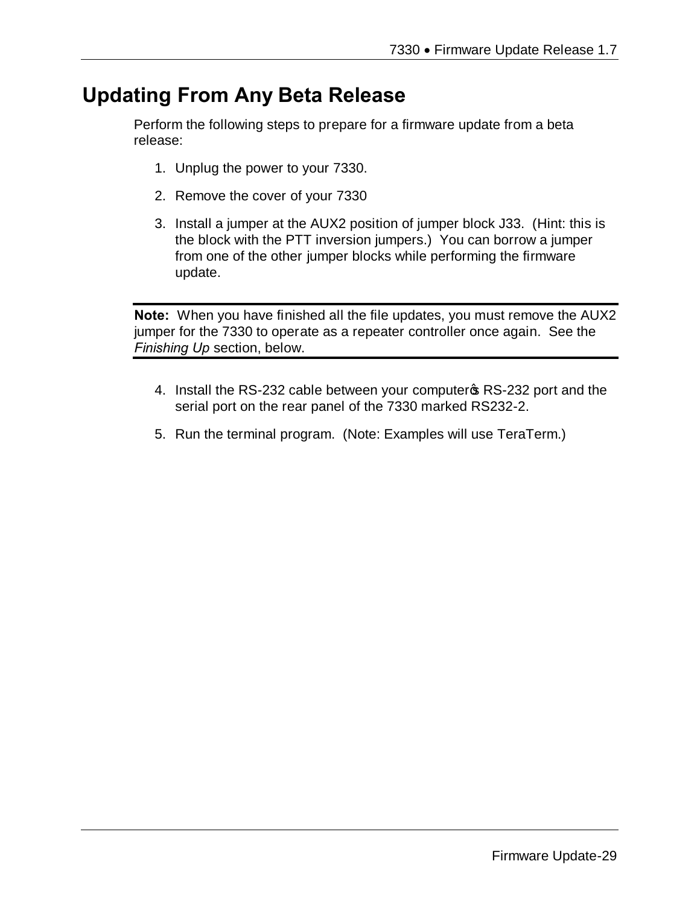# **Updating From Any Beta Release**

Perform the following steps to prepare for a firmware update from a beta release:

- 1. Unplug the power to your 7330.
- 2. Remove the cover of your 7330
- 3. Install a jumper at the AUX2 position of jumper block J33. (Hint: this is the block with the PTT inversion jumpers.) You can borrow a jumper from one of the other jumper blocks while performing the firmware update.

**Note:** When you have finished all the file updates, you must remove the AUX2 jumper for the 7330 to operate as a repeater controller once again. See the *Finishing Up* section, below.

- 4. Install the RS-232 cable between your computer \$RS-232 port and the serial port on the rear panel of the 7330 marked RS232-2.
- 5. Run the terminal program. (Note: Examples will use TeraTerm.)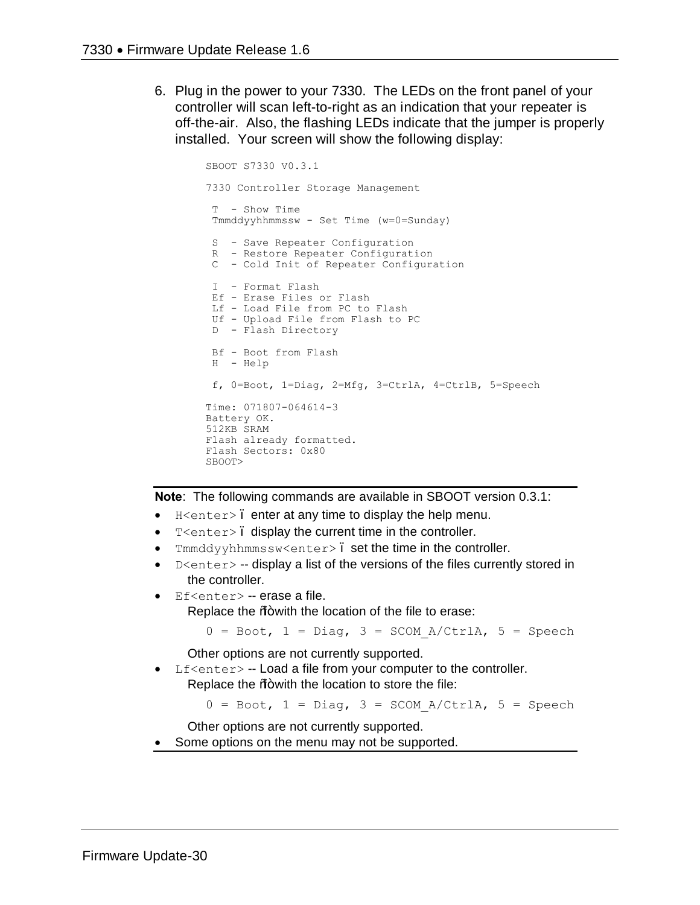6. Plug in the power to your 7330. The LEDs on the front panel of your controller will scan left-to-right as an indication that your repeater is off-the-air. Also, the flashing LEDs indicate that the jumper is properly installed. Your screen will show the following display:

```
SBOOT S7330 V0.3.1
7330 Controller Storage Management
T - Show Time
Tmmddyyhhmmssw - Set Time (w=0=Sunday)
S - Save Repeater Configuration
 R - Restore Repeater Configuration
 C - Cold Init of Repeater Configuration
I - Format Flash
Ef - Erase Files or Flash
 Lf - Load File from PC to Flash
 Uf - Upload File from Flash to PC
D - Flash Directory
Bf - Boot from Flash
H - Help
f, 0=Boot, 1=Diag, 2=Mfg, 3=CtrlA, 4=CtrlB, 5=Speech
Time: 071807-064614-3
Battery OK.
512KB SRAM
Flash already formatted.
Flash Sectors: 0x80
SBOOT>
```
**Note**: The following commands are available in SBOOT version 0.3.1:

- $H$  <enter>. enter at any time to display the help menu.
- T<enter>. display the current time in the controller.
- Tmmddyyhhmmssw<enter>. set the time in the controller.
- $D \leq n \leq r$  -- display a list of the versions of the files currently stored in the controller.
- Ef<enter> -- erase a file.

Replace the % with the location of the file to erase:

```
0 = \text{Boot}, 1 = \text{Diag}, 3 = \text{SCOM} A/CtrlA, 5 = \text{Speech}
```
Other options are not currently supported.

Lf<enter> -- Load a file from your computer to the controller. Replace the  $%+$  with the location to store the file:

 $0 = \text{foot}, 1 = \text{Diag}, 3 = \text{SCOM A/CtrlA}, 5 = \text{Speedch}$ 

Other options are not currently supported.

Some options on the menu may not be supported.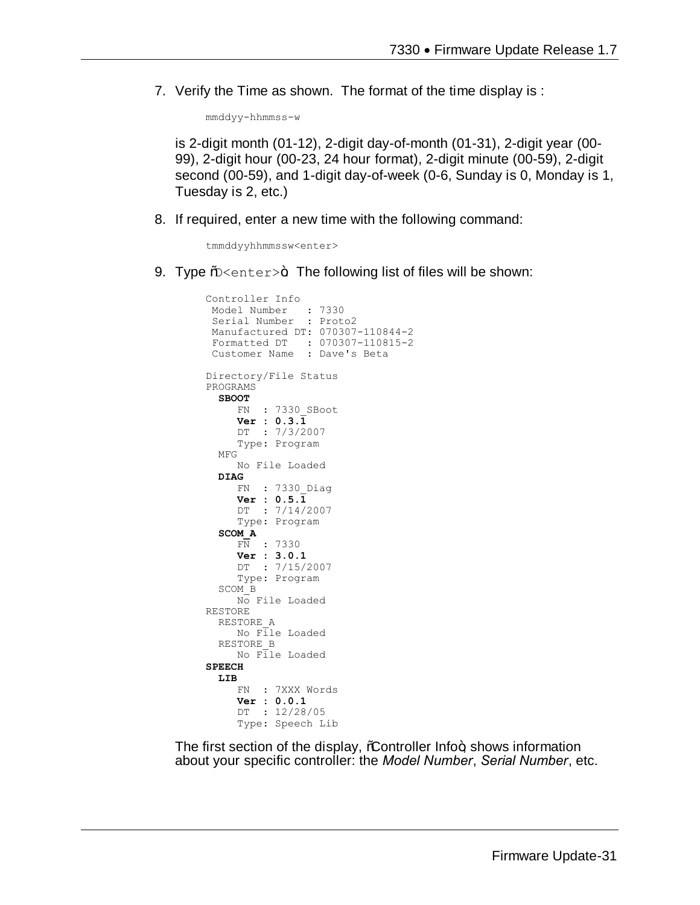7. Verify the Time as shown. The format of the time display is :

mmddyy-hhmmss-w

is 2-digit month (01-12), 2-digit day-of-month (01-31), 2-digit year (00- 99), 2-digit hour (00-23, 24 hour format), 2-digit minute (00-59), 2-digit second (00-59), and 1-digit day-of-week (0-6, Sunday is 0, Monday is 1, Tuesday is 2, etc.)

8. If required, enter a new time with the following command:

tmmddyyhhmmssw<enter>

9. Type  $\frac{1}{2}$  =  $\frac{1}{2}$ . The following list of files will be shown:

```
Controller Info
Model Number : 7330
 Serial Number : Proto2
Manufactured DT: 070307-110844-2
 Formatted DT : 070307-110815-2
 Customer Name : Dave's Beta
Directory/File Status
PROGRAMS
   SBOOT
      FN : 7330_SBoot
      Ver : 0.3.1
     DT : 7/3/2007
      Type: Program
   MFG
      No File Loaded
   DIAG
      FN : 7330_Diag
      Ver : 0.5.1
      DT : 7/14/2007
      Type: Program
   SCOM_A
      FN : 7330
      Ver : 3.0.1
      DT : 7/15/2007
      Type: Program
   SCOM_B
     No File Loaded
RESTORE
   RESTORE_A
      No File Loaded
   RESTORE_B
     No File Loaded
SPEECH
   LIB
      FN : 7XXX Words
      Ver : 0.0.1
      DT : 12/28/05
      Type: Speech Lib
```
The first section of the display, *C*ontroller Info+, shows information about your specific controller: the *Model Number*, *Serial Number*, etc.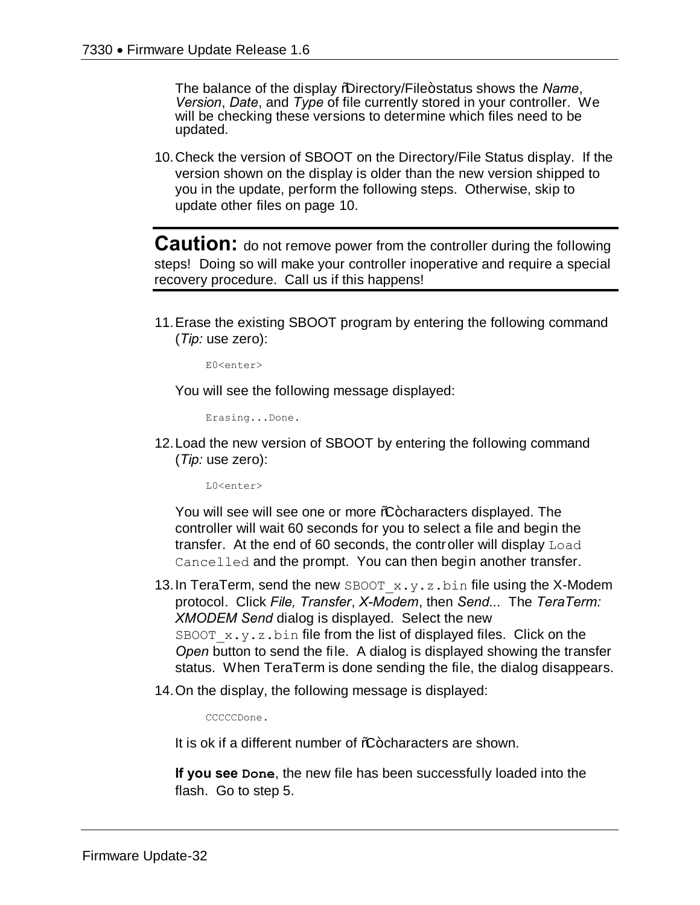The balance of the display *"*Directory/File+status shows the *Name*, *Version*, *Date*, and *Type* of file currently stored in your controller. We will be checking these versions to determine which files need to be updated.

10.Check the version of SBOOT on the Directory/File Status display. If the version shown on the display is older than the new version shipped to you in the update, perform the following steps. Otherwise, skip to update other files on page 10.

**Caution:** do not remove power from the controller during the following steps! Doing so will make your controller inoperative and require a special recovery procedure. Call us if this happens!

11.Erase the existing SBOOT program by entering the following command (*Tip:* use zero):

E0<enter>

You will see the following message displayed:

Erasing...Done.

12.Load the new version of SBOOT by entering the following command (*Tip:* use zero):

L0<enter>

You will see will see one or more %+ characters displayed. The controller will wait 60 seconds for you to select a file and begin the transfer. At the end of 60 seconds, the controller will display Load Cancelled and the prompt. You can then begin another transfer.

- 13. In TeraTerm, send the new SBOOT  $x,y,z,b$ in file using the X-Modem protocol. Click *File, Transfer*, *X-Modem*, then *Send...* The *TeraTerm: XMODEM Send* dialog is displayed. Select the new SBOOT  $x.y.z.bin$  file from the list of displayed files. Click on the *Open* button to send the file. A dialog is displayed showing the transfer status. When TeraTerm is done sending the file, the dialog disappears.
- 14.On the display, the following message is displayed:

CCCCCDone.

It is ok if a different number of %+ characters are shown.

**If you see Done**, the new file has been successfully loaded into the flash. Go to step 5.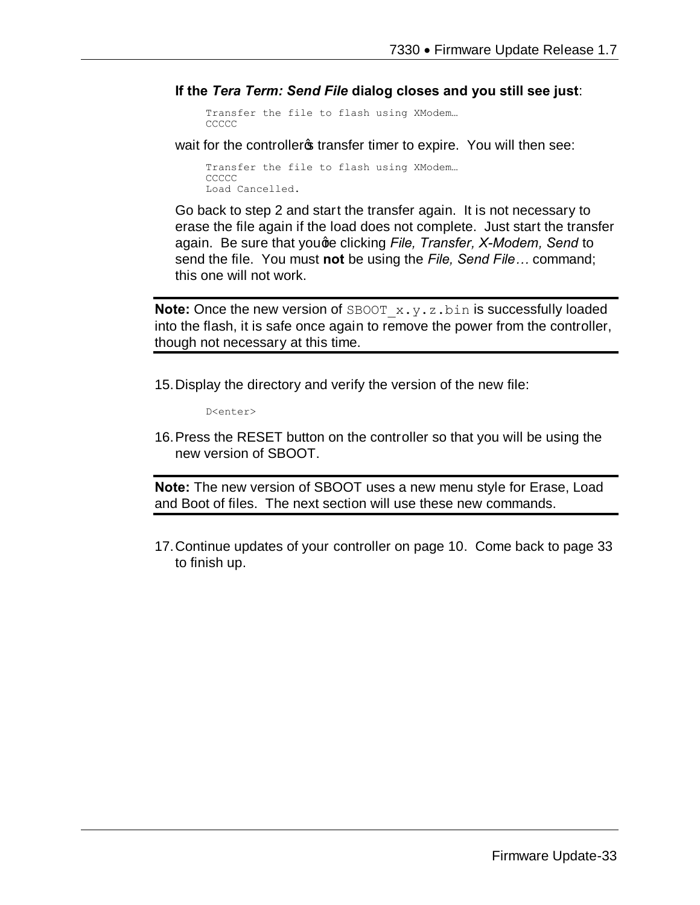**If the** *Tera Term: Send File* **dialog closes and you still see just**:

Transfer the file to flash using XModem… CCCCC

wait for the controllers transfer timer to expire. You will then see:

Transfer the file to flash using XModem… **CCCCC** Load Cancelled.

Go back to step 2 and start the transfer again. It is not necessary to erase the file again if the load does not complete. Just start the transfer again. Be sure that youge clicking *File, Transfer, X-Modem, Send* to send the file. You must **not** be using the *File, Send File…* command; this one will not work.

**Note:** Once the new version of SBOOT x.y.z.bin is successfully loaded into the flash, it is safe once again to remove the power from the controller, though not necessary at this time.

15.Display the directory and verify the version of the new file:

D<enter>

16.Press the RESET button on the controller so that you will be using the new version of SBOOT.

**Note:** The new version of SBOOT uses a new menu style for Erase, Load and Boot of files. The next section will use these new commands.

17.Continue updates of your controller on page 10. Come back to page 33 to finish up.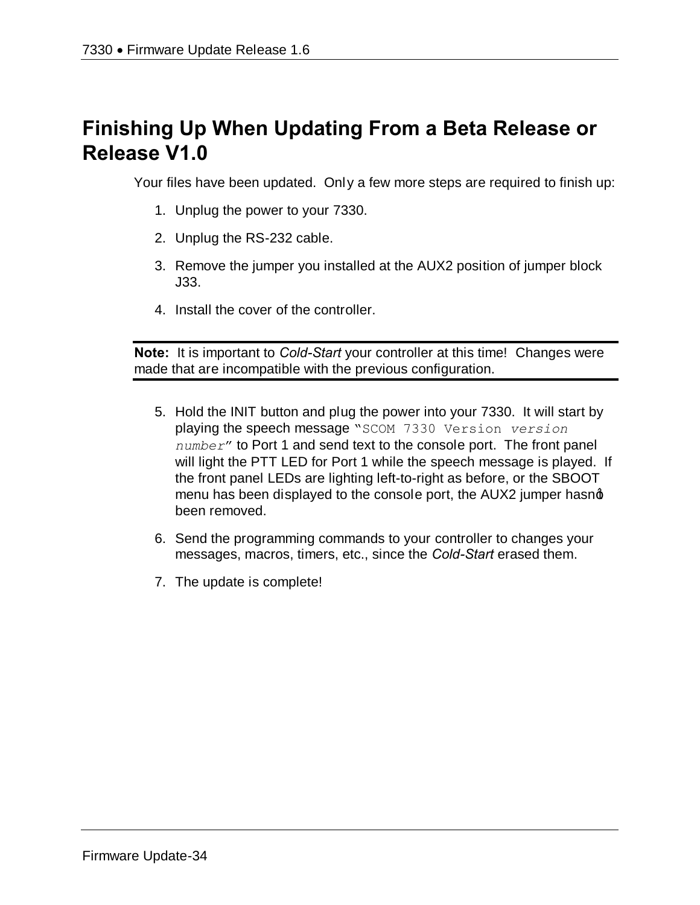# **Finishing Up When Updating From a Beta Release or Release V1.0**

Your files have been updated. Only a few more steps are required to finish up:

- 1. Unplug the power to your 7330.
- 2. Unplug the RS-232 cable.
- 3. Remove the jumper you installed at the AUX2 position of jumper block J33.
- 4. Install the cover of the controller.

**Note:** It is important to *Cold-Start* your controller at this time! Changes were made that are incompatible with the previous configuration.

- 5. Hold the INIT button and plug the power into your 7330. It will start by playing the speech message "SCOM 7330 Version *version number*" to Port 1 and send text to the console port. The front panel will light the PTT LED for Port 1 while the speech message is played. If the front panel LEDs are lighting left-to-right as before, or the SBOOT menu has been displayed to the console port, the AUX2 jumper hasnot been removed.
- 6. Send the programming commands to your controller to changes your messages, macros, timers, etc., since the *Cold-Start* erased them.
- 7. The update is complete!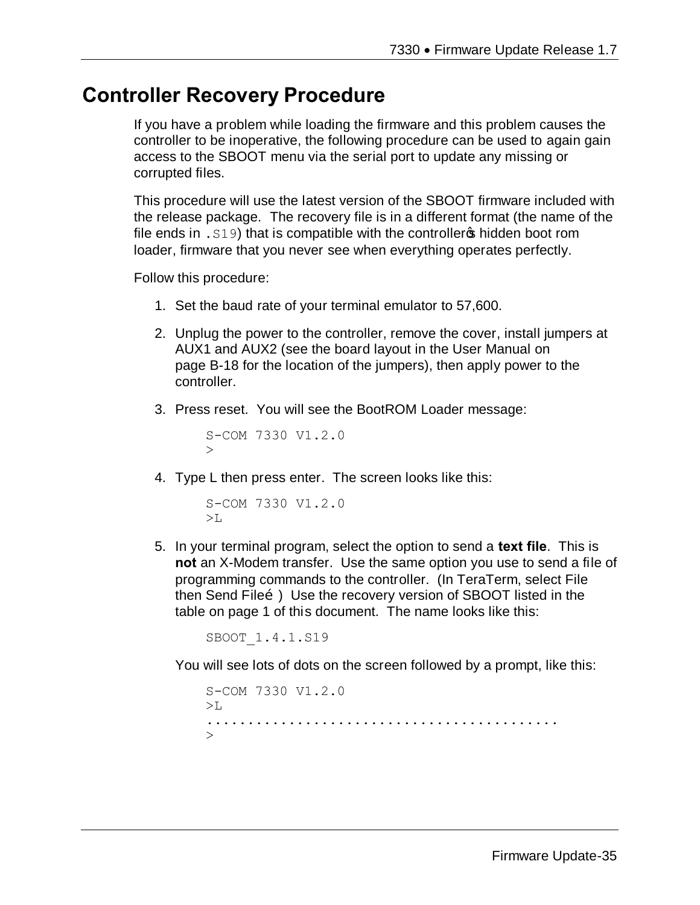## **Controller Recovery Procedure**

If you have a problem while loading the firmware and this problem causes the controller to be inoperative, the following procedure can be used to again gain access to the SBOOT menu via the serial port to update any missing or corrupted files.

This procedure will use the latest version of the SBOOT firmware included with the release package. The recovery file is in a different format (the name of the file ends in  $.519$ ) that is compatible with the controllers hidden boot rom loader, firmware that you never see when everything operates perfectly.

Follow this procedure:

- 1. Set the baud rate of your terminal emulator to 57,600.
- 2. Unplug the power to the controller, remove the cover, install jumpers at AUX1 and AUX2 (see the board layout in the User Manual on page B-18 for the location of the jumpers), then apply power to the controller.
- 3. Press reset. You will see the BootROM Loader message:

```
S-COM 7330 V1.2.0
\geq
```
4. Type L then press enter. The screen looks like this:

```
S-COM 7330 V1.2.0
>1.
```
5. In your terminal program, select the option to send a **text file**. This is **not** an X-Modem transfer. Use the same option you use to send a file of programming commands to the controller. (In TeraTerm, select File then Send Fileo.) Use the recovery version of SBOOT listed in the table on page 1 of this document. The name looks like this:

SBOOT\_1.4.1.S19

You will see lots of dots on the screen followed by a prompt, like this:

S-COM 7330 V1.2.0  $>$ L $-$ ...........................................  $\overline{\phantom{a}}$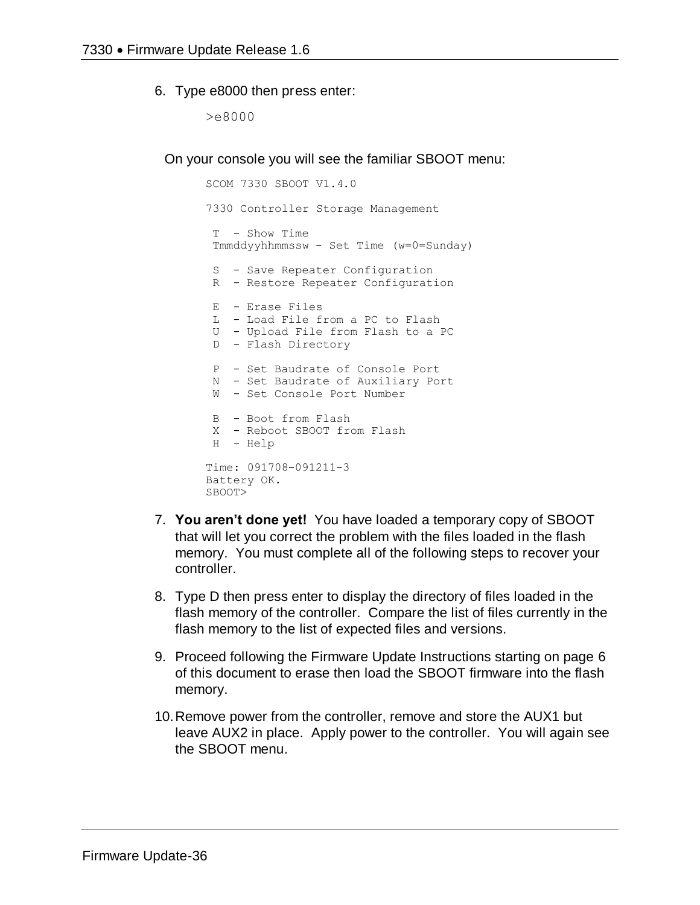#### 6. Type e8000 then press enter:

>e8000

On your console you will see the familiar SBOOT menu:

```
SCOM 7330 SBOOT V1.4.0
7330 Controller Storage Management
 T - Show Time 
 Tmmddyyhhmmssw - Set Time (w=0=Sunday)
 S - Save Repeater Configuration
 R - Restore Repeater Configuration
 E - Erase Files
 L - Load File from a PC to Flash
 U - Upload File from Flash to a PC
 D - Flash Directory
 P - Set Baudrate of Console Port
N - Set Baudrate of Auxiliary Port
W - Set Console Port Number
 B - Boot from Flash
X - Reboot SBOOT from Flash
H - Help
Time: 091708-091211-3
Battery OK.
SBOOT>
```
- 7. **You aren't done yet!** You have loaded a temporary copy of SBOOT that will let you correct the problem with the files loaded in the flash memory. You must complete all of the following steps to recover your controller.
- 8. Type D then press enter to display the directory of files loaded in the flash memory of the controller. Compare the list of files currently in the flash memory to the list of expected files and versions.
- 9. Proceed following the Firmware Update Instructions starting on page 6 of this document to erase then load the SBOOT firmware into the flash memory.
- 10.Remove power from the controller, remove and store the AUX1 but leave AUX2 in place. Apply power to the controller. You will again see the SBOOT menu.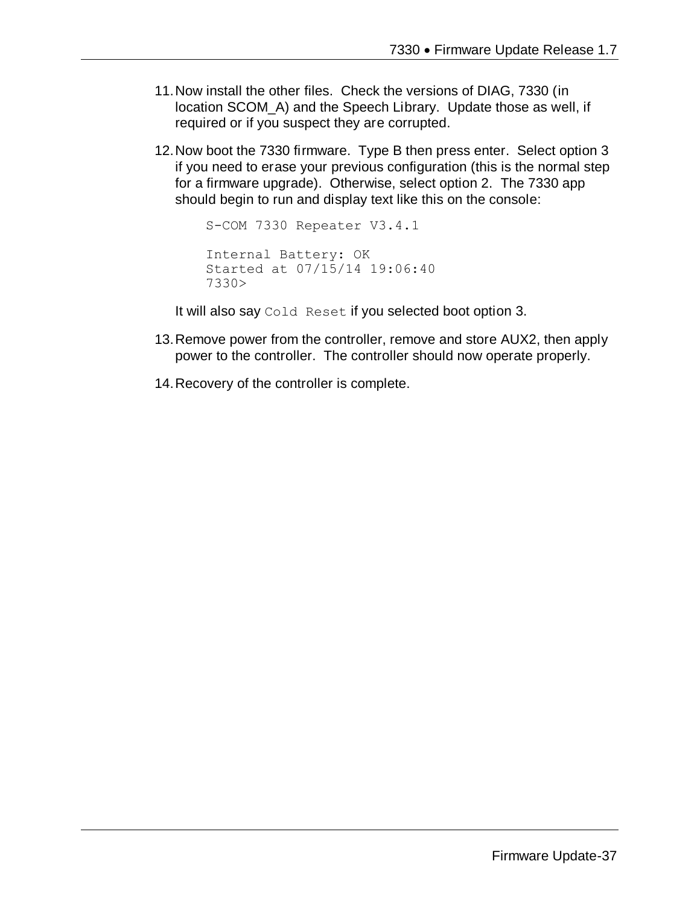- 11.Now install the other files. Check the versions of DIAG, 7330 (in location SCOM\_A) and the Speech Library. Update those as well, if required or if you suspect they are corrupted.
- 12.Now boot the 7330 firmware. Type B then press enter. Select option 3 if you need to erase your previous configuration (this is the normal step for a firmware upgrade). Otherwise, select option 2. The 7330 app should begin to run and display text like this on the console:

```
S-COM 7330 Repeater V3.4.1
Internal Battery: OK
Started at 07/15/14 19:06:40
7330>
```
It will also say Cold Reset if you selected boot option 3.

- 13.Remove power from the controller, remove and store AUX2, then apply power to the controller. The controller should now operate properly.
- 14.Recovery of the controller is complete.